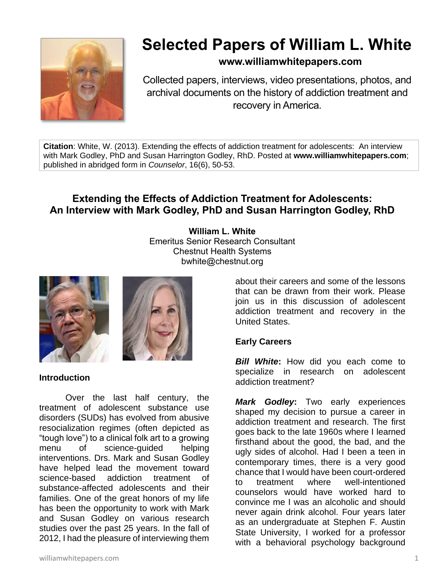

# **Selected Papers of William L. White**

# **www.williamwhitepapers.com**

Collected papers, interviews, video presentations, photos, and archival documents on the history of addiction treatment and recovery in America.

**Citation**: White, W. (2013). Extending the effects of addiction treatment for adolescents: An interview with Mark Godley, PhD and Susan Harrington Godley, RhD. Posted at **www.williamwhitepapers.com**; published in abridged form in *Counselor*, 16(6), 50-53.

# **Extending the Effects of Addiction Treatment for Adolescents: An Interview with Mark Godley, PhD and Susan Harrington Godley, RhD**

**William L. White** Emeritus Senior Research Consultant Chestnut Health Systems bwhite@chestnut.org





**Introduction**

Over the last half century, the treatment of adolescent substance use disorders (SUDs) has evolved from abusive resocialization regimes (often depicted as "tough love") to a clinical folk art to a growing menu of science-guided helping interventions. Drs. Mark and Susan Godley have helped lead the movement toward science-based addiction treatment of substance-affected adolescents and their families. One of the great honors of my life has been the opportunity to work with Mark and Susan Godley on various research studies over the past 25 years. In the fall of 2012, I had the pleasure of interviewing them

about their careers and some of the lessons that can be drawn from their work. Please join us in this discussion of adolescent addiction treatment and recovery in the United States.

# **Early Careers**

*Bill White***:** How did you each come to specialize in research on adolescent addiction treatment?

*Mark Godley***:** Two early experiences shaped my decision to pursue a career in addiction treatment and research. The first goes back to the late 1960s where I learned firsthand about the good, the bad, and the ugly sides of alcohol. Had I been a teen in contemporary times, there is a very good chance that I would have been court-ordered to treatment where well-intentioned counselors would have worked hard to convince me I was an alcoholic and should never again drink alcohol. Four years later as an undergraduate at Stephen F. Austin State University, I worked for a professor with a behavioral psychology background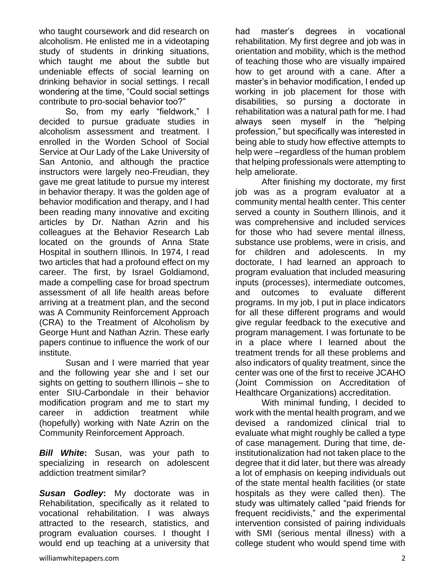who taught coursework and did research on alcoholism. He enlisted me in a videotaping study of students in drinking situations, which taught me about the subtle but undeniable effects of social learning on drinking behavior in social settings. I recall wondering at the time, "Could social settings contribute to pro-social behavior too?"

So, from my early "fieldwork," I decided to pursue graduate studies in alcoholism assessment and treatment. I enrolled in the Worden School of Social Service at Our Lady of the Lake University of San Antonio, and although the practice instructors were largely neo-Freudian, they gave me great latitude to pursue my interest in behavior therapy. It was the golden age of behavior modification and therapy, and I had been reading many innovative and exciting articles by Dr. Nathan Azrin and his colleagues at the Behavior Research Lab located on the grounds of Anna State Hospital in southern Illinois. In 1974, I read two articles that had a profound effect on my career. The first, by Israel Goldiamond, made a compelling case for broad spectrum assessment of all life health areas before arriving at a treatment plan, and the second was A Community Reinforcement Approach (CRA) to the Treatment of Alcoholism by George Hunt and Nathan Azrin. These early papers continue to influence the work of our institute.

Susan and I were married that year and the following year she and I set our sights on getting to southern Illinois – she to enter SIU-Carbondale in their behavior modification program and me to start my career in addiction treatment while (hopefully) working with Nate Azrin on the Community Reinforcement Approach.

*Bill White***:** Susan, was your path to specializing in research on adolescent addiction treatment similar?

*Susan Godley***:** My doctorate was in Rehabilitation, specifically as it related to vocational rehabilitation. I was always attracted to the research, statistics, and program evaluation courses. I thought I would end up teaching at a university that had master's degrees in vocational rehabilitation. My first degree and job was in orientation and mobility, which is the method of teaching those who are visually impaired how to get around with a cane. After a master's in behavior modification, I ended up working in job placement for those with disabilities, so pursing a doctorate in rehabilitation was a natural path for me. I had always seen myself in the "helping profession," but specifically was interested in being able to study how effective attempts to help were –regardless of the human problem that helping professionals were attempting to help ameliorate.

After finishing my doctorate, my first job was as a program evaluator at a community mental health center. This center served a county in Southern Illinois, and it was comprehensive and included services for those who had severe mental illness, substance use problems, were in crisis, and for children and adolescents. In my doctorate, I had learned an approach to program evaluation that included measuring inputs (processes), intermediate outcomes, and outcomes to evaluate different programs. In my job, I put in place indicators for all these different programs and would give regular feedback to the executive and program management. I was fortunate to be in a place where I learned about the treatment trends for all these problems and also indicators of quality treatment, since the center was one of the first to receive JCAHO (Joint Commission on Accreditation of Healthcare Organizations) accreditation.

With minimal funding, I decided to work with the mental health program, and we devised a randomized clinical trial to evaluate what might roughly be called a type of case management. During that time, deinstitutionalization had not taken place to the degree that it did later, but there was already a lot of emphasis on keeping individuals out of the state mental health facilities (or state hospitals as they were called then). The study was ultimately called "paid friends for frequent recidivists," and the experimental intervention consisted of pairing individuals with SMI (serious mental illness) with a college student who would spend time with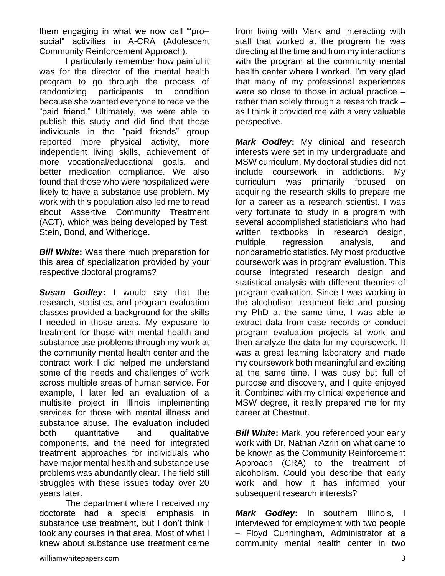them engaging in what we now call "'pro– social" activities in A-CRA (Adolescent Community Reinforcement Approach).

I particularly remember how painful it was for the director of the mental health program to go through the process of randomizing participants to condition because she wanted everyone to receive the "paid friend." Ultimately, we were able to publish this study and did find that those individuals in the "paid friends" group reported more physical activity, more independent living skills, achievement of more vocational/educational goals, and better medication compliance. We also found that those who were hospitalized were likely to have a substance use problem. My work with this population also led me to read about Assertive Community Treatment (ACT), which was being developed by Test, Stein, Bond, and Witheridge.

*Bill White***:** Was there much preparation for this area of specialization provided by your respective doctoral programs?

*Susan Godley***:** I would say that the research, statistics, and program evaluation classes provided a background for the skills I needed in those areas. My exposure to treatment for those with mental health and substance use problems through my work at the community mental health center and the contract work I did helped me understand some of the needs and challenges of work across multiple areas of human service. For example, I later led an evaluation of a multisite project in Illinois implementing services for those with mental illness and substance abuse. The evaluation included both quantitative and qualitative components, and the need for integrated treatment approaches for individuals who have major mental health and substance use problems was abundantly clear. The field still struggles with these issues today over 20 years later.

The department where I received my doctorate had a special emphasis in substance use treatment, but I don't think I took any courses in that area. Most of what I knew about substance use treatment came

from living with Mark and interacting with staff that worked at the program he was directing at the time and from my interactions with the program at the community mental health center where I worked. I'm very glad that many of my professional experiences were so close to those in actual practice – rather than solely through a research track – as I think it provided me with a very valuable perspective.

*Mark Godley***:** My clinical and research interests were set in my undergraduate and MSW curriculum. My doctoral studies did not include coursework in addictions. My curriculum was primarily focused on acquiring the research skills to prepare me for a career as a research scientist. I was very fortunate to study in a program with several accomplished statisticians who had written textbooks in research design, multiple regression analysis, and nonparametric statistics. My most productive coursework was in program evaluation. This course integrated research design and statistical analysis with different theories of program evaluation. Since I was working in the alcoholism treatment field and pursing my PhD at the same time, I was able to extract data from case records or conduct program evaluation projects at work and then analyze the data for my coursework. It was a great learning laboratory and made my coursework both meaningful and exciting at the same time. I was busy but full of purpose and discovery, and I quite enjoyed it. Combined with my clinical experience and MSW degree, it really prepared me for my career at Chestnut.

*Bill White:* Mark, you referenced your early work with Dr. Nathan Azrin on what came to be known as the Community Reinforcement Approach (CRA) to the treatment of alcoholism. Could you describe that early work and how it has informed your subsequent research interests?

*Mark Godley***:** In southern Illinois, I interviewed for employment with two people – Floyd Cunningham, Administrator at a community mental health center in two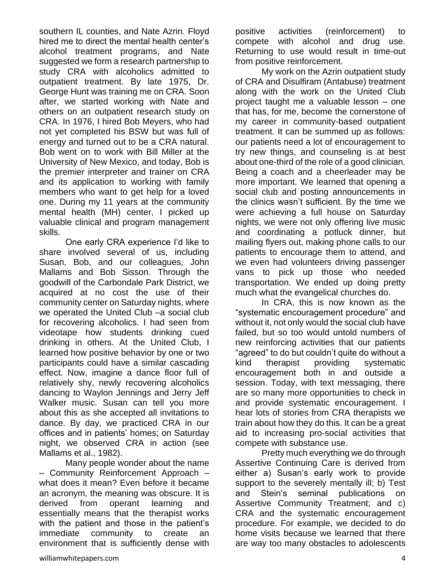southern IL counties, and Nate Azrin. Floyd hired me to direct the mental health center's alcohol treatment programs, and Nate suggested we form a research partnership to study CRA with alcoholics admitted to outpatient treatment. By late 1975, Dr. George Hunt was training me on CRA. Soon after, we started working with Nate and others on an outpatient research study on CRA. In 1976, I hired Bob Meyers, who had not yet completed his BSW but was full of energy and turned out to be a CRA natural. Bob went on to work with Bill Miller at the University of New Mexico, and today, Bob is the premier interpreter and trainer on CRA and its application to working with family members who want to get help for a loved one. During my 11 years at the community mental health (MH) center, I picked up valuable clinical and program management skills.

One early CRA experience I'd like to share involved several of us, including Susan, Bob, and our colleagues, John Mallams and Bob Sisson. Through the goodwill of the Carbondale Park District, we acquired at no cost the use of their community center on Saturday nights, where we operated the United Club –a social club for recovering alcoholics. I had seen from videotape how students drinking cued drinking in others. At the United Club, I learned how positive behavior by one or two participants could have a similar cascading effect. Now, imagine a dance floor full of relatively shy, newly recovering alcoholics dancing to Waylon Jennings and Jerry Jeff Walker music. Susan can tell you more about this as she accepted all invitations to dance. By day, we practiced CRA in our offices and in patients' homes; on Saturday night, we observed CRA in action (see Mallams et al., 1982).

Many people wonder about the name – Community Reinforcement Approach – what does it mean? Even before it became an acronym, the meaning was obscure. It is derived from operant learning and essentially means that the therapist works with the patient and those in the patient's immediate community to create an environment that is sufficiently dense with positive activities (reinforcement) to compete with alcohol and drug use. Returning to use would result in time-out from positive reinforcement.

My work on the Azrin outpatient study of CRA and Disulfiram (Antabuse) treatment along with the work on the United Club project taught me a valuable lesson – one that has, for me, become the cornerstone of my career in community-based outpatient treatment. It can be summed up as follows: our patients need a lot of encouragement to try new things, and counseling is at best about one-third of the role of a good clinician. Being a coach and a cheerleader may be more important. We learned that opening a social club and posting announcements in the clinics wasn't sufficient. By the time we were achieving a full house on Saturday nights, we were not only offering live music and coordinating a potluck dinner, but mailing flyers out, making phone calls to our patients to encourage them to attend, and we even had volunteers driving passenger vans to pick up those who needed transportation. We ended up doing pretty much what the evangelical churches do.

In CRA, this is now known as the "systematic encouragement procedure" and without it, not only would the social club have failed, but so too would untold numbers of new reinforcing activities that our patients "agreed" to do but couldn't quite do without a kind therapist providing systematic encouragement both in and outside a session. Today, with text messaging, there are so many more opportunities to check in and provide systematic encouragement. I hear lots of stories from CRA therapists we train about how they do this. It can be a great aid to increasing pro-social activities that compete with substance use.

Pretty much everything we do through Assertive Continuing Care is derived from either a) Susan's early work to provide support to the severely mentally ill; b) Test and Stein's seminal publications on Assertive Community Treatment; and c) CRA and the systematic encouragement procedure. For example, we decided to do home visits because we learned that there are way too many obstacles to adolescents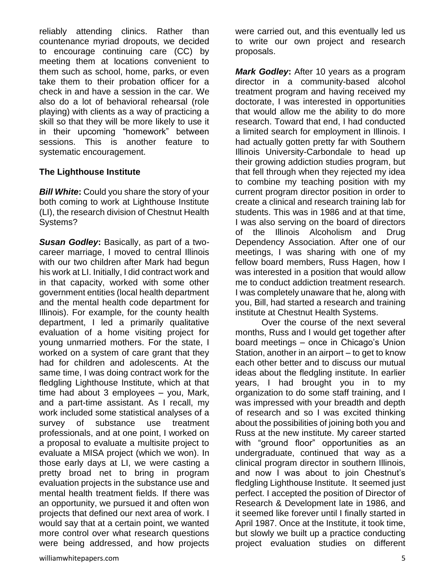reliably attending clinics. Rather than countenance myriad dropouts, we decided to encourage continuing care (CC) by meeting them at locations convenient to them such as school, home, parks, or even take them to their probation officer for a check in and have a session in the car. We also do a lot of behavioral rehearsal (role playing) with clients as a way of practicing a skill so that they will be more likely to use it in their upcoming "homework" between sessions. This is another feature to systematic encouragement.

#### **The Lighthouse Institute**

*Bill White***:** Could you share the story of your both coming to work at Lighthouse Institute (LI), the research division of Chestnut Health Systems?

*Susan Godley***:** Basically, as part of a twocareer marriage, I moved to central Illinois with our two children after Mark had begun his work at LI. Initially, I did contract work and in that capacity, worked with some other government entities (local health department and the mental health code department for Illinois). For example, for the county health department, I led a primarily qualitative evaluation of a home visiting project for young unmarried mothers. For the state, I worked on a system of care grant that they had for children and adolescents. At the same time, I was doing contract work for the fledgling Lighthouse Institute, which at that time had about 3 employees – you, Mark, and a part-time assistant. As I recall, my work included some statistical analyses of a survey of substance use treatment professionals, and at one point, I worked on a proposal to evaluate a multisite project to evaluate a MISA project (which we won). In those early days at LI, we were casting a pretty broad net to bring in program evaluation projects in the substance use and mental health treatment fields. If there was an opportunity, we pursued it and often won projects that defined our next area of work. I would say that at a certain point, we wanted more control over what research questions were being addressed, and how projects

were carried out, and this eventually led us to write our own project and research proposals.

*Mark Godley***:** After 10 years as a program director in a community-based alcohol treatment program and having received my doctorate, I was interested in opportunities that would allow me the ability to do more research. Toward that end, I had conducted a limited search for employment in Illinois. I had actually gotten pretty far with Southern Illinois University-Carbondale to head up their growing addiction studies program, but that fell through when they rejected my idea to combine my teaching position with my current program director position in order to create a clinical and research training lab for students. This was in 1986 and at that time, I was also serving on the board of directors of the Illinois Alcoholism and Drug Dependency Association. After one of our meetings, I was sharing with one of my fellow board members, Russ Hagen, how I was interested in a position that would allow me to conduct addiction treatment research. I was completely unaware that he, along with you, Bill, had started a research and training institute at Chestnut Health Systems.

Over the course of the next several months, Russ and I would get together after board meetings – once in Chicago's Union Station, another in an airport – to get to know each other better and to discuss our mutual ideas about the fledgling institute. In earlier years, I had brought you in to my organization to do some staff training, and I was impressed with your breadth and depth of research and so I was excited thinking about the possibilities of joining both you and Russ at the new institute. My career started with "ground floor" opportunities as an undergraduate, continued that way as a clinical program director in southern Illinois, and now I was about to join Chestnut's fledgling Lighthouse Institute. It seemed just perfect. I accepted the position of Director of Research & Development late in 1986, and it seemed like forever until I finally started in April 1987. Once at the Institute, it took time, but slowly we built up a practice conducting project evaluation studies on different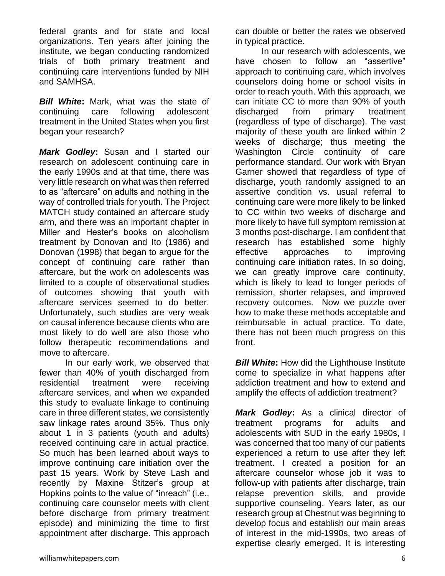federal grants and for state and local organizations. Ten years after joining the institute, we began conducting randomized trials of both primary treatment and continuing care interventions funded by NIH and SAMHSA.

*Bill White***:** Mark, what was the state of continuing care following adolescent treatment in the United States when you first began your research?

*Mark Godley***:** Susan and I started our research on adolescent continuing care in the early 1990s and at that time, there was very little research on what was then referred to as "aftercare" on adults and nothing in the way of controlled trials for youth. The Project MATCH study contained an aftercare study arm, and there was an important chapter in Miller and Hester's books on alcoholism treatment by Donovan and Ito (1986) and Donovan (1998) that began to argue for the concept of continuing care rather than aftercare, but the work on adolescents was limited to a couple of observational studies of outcomes showing that youth with aftercare services seemed to do better. Unfortunately, such studies are very weak on causal inference because clients who are most likely to do well are also those who follow therapeutic recommendations and move to aftercare.

In our early work, we observed that fewer than 40% of youth discharged from residential treatment were receiving aftercare services, and when we expanded this study to evaluate linkage to continuing care in three different states, we consistently saw linkage rates around 35%. Thus only about 1 in 3 patients (youth and adults) received continuing care in actual practice. So much has been learned about ways to improve continuing care initiation over the past 15 years. Work by Steve Lash and recently by Maxine Stitzer's group at Hopkins points to the value of "inreach" (i.e., continuing care counselor meets with client before discharge from primary treatment episode) and minimizing the time to first appointment after discharge. This approach can double or better the rates we observed in typical practice.

In our research with adolescents, we have chosen to follow an "assertive" approach to continuing care, which involves counselors doing home or school visits in order to reach youth. With this approach, we can initiate CC to more than 90% of youth discharged from primary treatment (regardless of type of discharge). The vast majority of these youth are linked within 2 weeks of discharge; thus meeting the Washington Circle continuity of care performance standard. Our work with Bryan Garner showed that regardless of type of discharge, youth randomly assigned to an assertive condition vs. usual referral to continuing care were more likely to be linked to CC within two weeks of discharge and more likely to have full symptom remission at 3 months post-discharge. I am confident that research has established some highly effective approaches to improving continuing care initiation rates. In so doing, we can greatly improve care continuity, which is likely to lead to longer periods of remission, shorter relapses, and improved recovery outcomes. Now we puzzle over how to make these methods acceptable and reimbursable in actual practice. To date, there has not been much progress on this front.

**Bill White:** How did the Lighthouse Institute come to specialize in what happens after addiction treatment and how to extend and amplify the effects of addiction treatment?

*Mark Godley***:** As a clinical director of treatment programs for adults and adolescents with SUD in the early 1980s, I was concerned that too many of our patients experienced a return to use after they left treatment. I created a position for an aftercare counselor whose job it was to follow-up with patients after discharge, train relapse prevention skills, and provide supportive counseling. Years later, as our research group at Chestnut was beginning to develop focus and establish our main areas of interest in the mid-1990s, two areas of expertise clearly emerged. It is interesting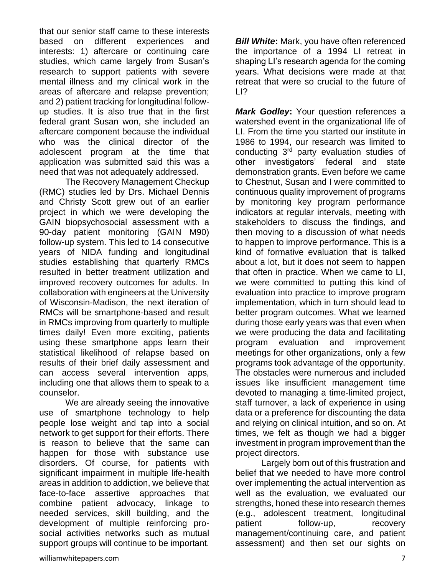that our senior staff came to these interests based on different experiences and interests: 1) aftercare or continuing care studies, which came largely from Susan's research to support patients with severe mental illness and my clinical work in the areas of aftercare and relapse prevention; and 2) patient tracking for longitudinal followup studies. It is also true that in the first federal grant Susan won, she included an aftercare component because the individual who was the clinical director of the adolescent program at the time that application was submitted said this was a need that was not adequately addressed.

The Recovery Management Checkup (RMC) studies led by Drs. Michael Dennis and Christy Scott grew out of an earlier project in which we were developing the GAIN biopsychosocial assessment with a 90-day patient monitoring (GAIN M90) follow-up system. This led to 14 consecutive years of NIDA funding and longitudinal studies establishing that quarterly RMCs resulted in better treatment utilization and improved recovery outcomes for adults. In collaboration with engineers at the University of Wisconsin-Madison, the next iteration of RMCs will be smartphone-based and result in RMCs improving from quarterly to multiple times daily! Even more exciting, patients using these smartphone apps learn their statistical likelihood of relapse based on results of their brief daily assessment and can access several intervention apps, including one that allows them to speak to a counselor.

We are already seeing the innovative use of smartphone technology to help people lose weight and tap into a social network to get support for their efforts. There is reason to believe that the same can happen for those with substance use disorders. Of course, for patients with significant impairment in multiple life-health areas in addition to addiction, we believe that face-to-face assertive approaches that combine patient advocacy, linkage to needed services, skill building, and the development of multiple reinforcing prosocial activities networks such as mutual support groups will continue to be important.

*Bill White***:** Mark, you have often referenced the importance of a 1994 LI retreat in shaping LI's research agenda for the coming years. What decisions were made at that retreat that were so crucial to the future of  $| \cdot |$ 

*Mark Godley***:** Your question references a watershed event in the organizational life of LI. From the time you started our institute in 1986 to 1994, our research was limited to conducting 3rd party evaluation studies of other investigators' federal and state demonstration grants. Even before we came to Chestnut, Susan and I were committed to continuous quality improvement of programs by monitoring key program performance indicators at regular intervals, meeting with stakeholders to discuss the findings, and then moving to a discussion of what needs to happen to improve performance. This is a kind of formative evaluation that is talked about a lot, but it does not seem to happen that often in practice. When we came to LI, we were committed to putting this kind of evaluation into practice to improve program implementation, which in turn should lead to better program outcomes. What we learned during those early years was that even when we were producing the data and facilitating program evaluation and improvement meetings for other organizations, only a few programs took advantage of the opportunity. The obstacles were numerous and included issues like insufficient management time devoted to managing a time-limited project, staff turnover, a lack of experience in using data or a preference for discounting the data and relying on clinical intuition, and so on. At times, we felt as though we had a bigger investment in program improvement than the project directors.

Largely born out of this frustration and belief that we needed to have more control over implementing the actual intervention as well as the evaluation, we evaluated our strengths, honed these into research themes (e.g., adolescent treatment, longitudinal patient follow-up, recovery management/continuing care, and patient assessment) and then set our sights on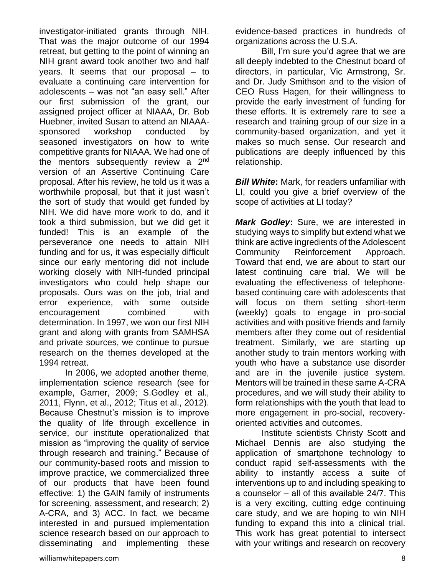investigator-initiated grants through NIH. That was the major outcome of our 1994 retreat, but getting to the point of winning an NIH grant award took another two and half years. It seems that our proposal – to evaluate a continuing care intervention for adolescents – was not "an easy sell." After our first submission of the grant, our assigned project officer at NIAAA, Dr. Bob Huebner, invited Susan to attend an NIAAAsponsored workshop conducted by seasoned investigators on how to write competitive grants for NIAAA. We had one of the mentors subsequently review a  $2<sup>nd</sup>$ version of an Assertive Continuing Care proposal. After his review, he told us it was a worthwhile proposal, but that it just wasn't the sort of study that would get funded by NIH. We did have more work to do, and it took a third submission, but we did get it funded! This is an example of the perseverance one needs to attain NIH funding and for us, it was especially difficult since our early mentoring did not include working closely with NIH-funded principal investigators who could help shape our proposals. Ours was on the job, trial and error experience, with some outside encouragement combined with determination. In 1997, we won our first NIH grant and along with grants from SAMHSA and private sources, we continue to pursue research on the themes developed at the 1994 retreat.

In 2006, we adopted another theme, implementation science research (see for example, Garner, 2009; S.Godley et al., 2011, Flynn, et al., 2012; Titus et al., 2012). Because Chestnut's mission is to improve the quality of life through excellence in service, our institute operationalized that mission as "improving the quality of service through research and training." Because of our community-based roots and mission to improve practice, we commercialized three of our products that have been found effective: 1) the GAIN family of instruments for screening, assessment, and research; 2) A-CRA, and 3) ACC. In fact, we became interested in and pursued implementation science research based on our approach to disseminating and implementing these

evidence-based practices in hundreds of organizations across the U.S.A.

Bill, I'm sure you'd agree that we are all deeply indebted to the Chestnut board of directors, in particular, Vic Armstrong, Sr. and Dr. Judy Smithson and to the vision of CEO Russ Hagen, for their willingness to provide the early investment of funding for these efforts. It is extremely rare to see a research and training group of our size in a community-based organization, and yet it makes so much sense. Our research and publications are deeply influenced by this relationship.

*Bill White***:** Mark, for readers unfamiliar with LI, could you give a brief overview of the scope of activities at LI today?

*Mark Godley***:** Sure, we are interested in studying ways to simplify but extend what we think are active ingredients of the Adolescent Community Reinforcement Approach. Toward that end, we are about to start our latest continuing care trial. We will be evaluating the effectiveness of telephonebased continuing care with adolescents that will focus on them setting short-term (weekly) goals to engage in pro-social activities and with positive friends and family members after they come out of residential treatment. Similarly, we are starting up another study to train mentors working with youth who have a substance use disorder and are in the juvenile justice system. Mentors will be trained in these same A-CRA procedures, and we will study their ability to form relationships with the youth that lead to more engagement in pro-social, recoveryoriented activities and outcomes.

Institute scientists Christy Scott and Michael Dennis are also studying the application of smartphone technology to conduct rapid self-assessments with the ability to instantly access a suite of interventions up to and including speaking to a counselor – all of this available 24/7. This is a very exciting, cutting edge continuing care study, and we are hoping to win NIH funding to expand this into a clinical trial. This work has great potential to intersect with your writings and research on recovery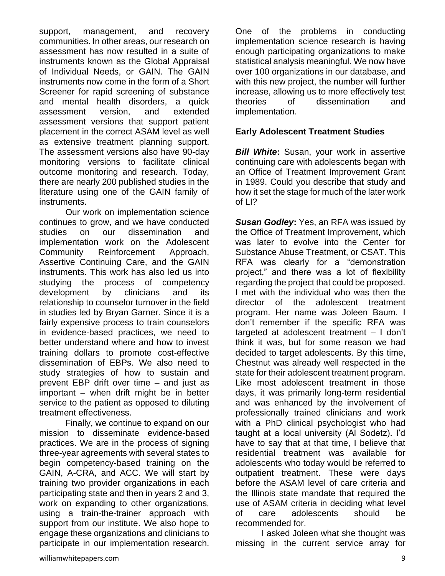support, management, and recovery communities. In other areas, our research on assessment has now resulted in a suite of instruments known as the Global Appraisal of Individual Needs, or GAIN. The GAIN instruments now come in the form of a Short Screener for rapid screening of substance and mental health disorders, a quick assessment version, and extended assessment versions that support patient placement in the correct ASAM level as well as extensive treatment planning support. The assessment versions also have 90-day monitoring versions to facilitate clinical outcome monitoring and research. Today, there are nearly 200 published studies in the literature using one of the GAIN family of instruments.

Our work on implementation science continues to grow, and we have conducted studies on our dissemination and implementation work on the Adolescent Community Reinforcement Approach, Assertive Continuing Care, and the GAIN instruments. This work has also led us into studying the process of competency development by clinicians and its relationship to counselor turnover in the field in studies led by Bryan Garner. Since it is a fairly expensive process to train counselors in evidence-based practices, we need to better understand where and how to invest training dollars to promote cost-effective dissemination of EBPs. We also need to study strategies of how to sustain and prevent EBP drift over time – and just as important – when drift might be in better service to the patient as opposed to diluting treatment effectiveness.

Finally, we continue to expand on our mission to disseminate evidence-based practices. We are in the process of signing three-year agreements with several states to begin competency-based training on the GAIN, A-CRA, and ACC. We will start by training two provider organizations in each participating state and then in years 2 and 3, work on expanding to other organizations, using a train-the-trainer approach with support from our institute. We also hope to engage these organizations and clinicians to participate in our implementation research.

One of the problems in conducting implementation science research is having enough participating organizations to make statistical analysis meaningful. We now have over 100 organizations in our database, and with this new project, the number will further increase, allowing us to more effectively test theories of dissemination and implementation.

## **Early Adolescent Treatment Studies**

*Bill White***:** Susan, your work in assertive continuing care with adolescents began with an Office of Treatment Improvement Grant in 1989. Could you describe that study and how it set the stage for much of the later work of LI?

*Susan Godley***:** Yes, an RFA was issued by the Office of Treatment Improvement, which was later to evolve into the Center for Substance Abuse Treatment, or CSAT. This RFA was clearly for a "demonstration project," and there was a lot of flexibility regarding the project that could be proposed. I met with the individual who was then the director of the adolescent treatment program. Her name was Joleen Baum. I don't remember if the specific RFA was targeted at adolescent treatment – I don't think it was, but for some reason we had decided to target adolescents. By this time, Chestnut was already well respected in the state for their adolescent treatment program. Like most adolescent treatment in those days, it was primarily long-term residential and was enhanced by the involvement of professionally trained clinicians and work with a PhD clinical psychologist who had taught at a local university (Al Sodetz). I'd have to say that at that time, I believe that residential treatment was available for adolescents who today would be referred to outpatient treatment. These were days before the ASAM level of care criteria and the Illinois state mandate that required the use of ASAM criteria in deciding what level of care adolescents should be recommended for.

I asked Joleen what she thought was missing in the current service array for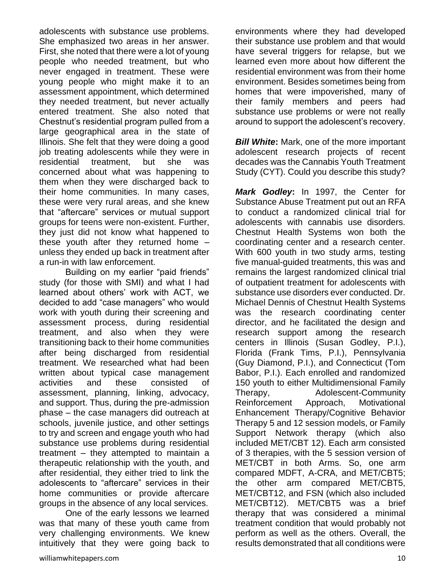adolescents with substance use problems. She emphasized two areas in her answer. First, she noted that there were a lot of young people who needed treatment, but who never engaged in treatment. These were young people who might make it to an assessment appointment, which determined they needed treatment, but never actually entered treatment. She also noted that Chestnut's residential program pulled from a large geographical area in the state of Illinois. She felt that they were doing a good job treating adolescents while they were in residential treatment, but she was concerned about what was happening to them when they were discharged back to their home communities. In many cases, these were very rural areas, and she knew that "aftercare" services or mutual support groups for teens were non-existent. Further, they just did not know what happened to these youth after they returned home – unless they ended up back in treatment after a run-in with law enforcement.

Building on my earlier "paid friends" study (for those with SMI) and what I had learned about others' work with ACT, we decided to add "case managers" who would work with youth during their screening and assessment process, during residential treatment, and also when they were transitioning back to their home communities after being discharged from residential treatment. We researched what had been written about typical case management activities and these consisted of assessment, planning, linking, advocacy, and support. Thus, during the pre-admission phase – the case managers did outreach at schools, juvenile justice, and other settings to try and screen and engage youth who had substance use problems during residential treatment – they attempted to maintain a therapeutic relationship with the youth, and after residential, they either tried to link the adolescents to "aftercare" services in their home communities or provide aftercare groups in the absence of any local services.

One of the early lessons we learned was that many of these youth came from very challenging environments. We knew intuitively that they were going back to

environments where they had developed their substance use problem and that would have several triggers for relapse, but we learned even more about how different the residential environment was from their home environment. Besides sometimes being from homes that were impoverished, many of their family members and peers had substance use problems or were not really around to support the adolescent's recovery.

*Bill White***:** Mark, one of the more important adolescent research projects of recent decades was the Cannabis Youth Treatment Study (CYT). Could you describe this study?

*Mark Godley***:** In 1997, the Center for Substance Abuse Treatment put out an RFA to conduct a randomized clinical trial for adolescents with cannabis use disorders. Chestnut Health Systems won both the coordinating center and a research center. With 600 youth in two study arms, testing five manual-guided treatments, this was and remains the largest randomized clinical trial of outpatient treatment for adolescents with substance use disorders ever conducted. Dr. Michael Dennis of Chestnut Health Systems was the research coordinating center director, and he facilitated the design and research support among the research centers in Illinois (Susan Godley, P.I.), Florida (Frank Tims, P.I.), Pennsylvania (Guy Diamond, P.I.), and Connecticut (Tom Babor, P.I.). Each enrolled and randomized 150 youth to either Multidimensional Family Therapy, Adolescent-Community Reinforcement Approach, Motivational Enhancement Therapy/Cognitive Behavior Therapy 5 and 12 session models, or Family Support Network therapy (which also included MET/CBT 12). Each arm consisted of 3 therapies, with the 5 session version of MET/CBT in both Arms. So, one arm compared MDFT, A-CRA, and MET/CBT5; the other arm compared MET/CBT5, MET/CBT12, and FSN (which also included MET/CBT12). MET/CBT5 was a brief therapy that was considered a minimal treatment condition that would probably not perform as well as the others. Overall, the results demonstrated that all conditions were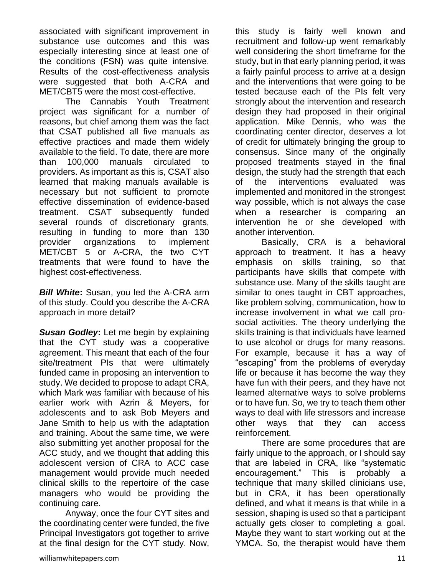associated with significant improvement in substance use outcomes and this was especially interesting since at least one of the conditions (FSN) was quite intensive. Results of the cost-effectiveness analysis were suggested that both A-CRA and MET/CBT5 were the most cost-effective.

The Cannabis Youth Treatment project was significant for a number of reasons, but chief among them was the fact that CSAT published all five manuals as effective practices and made them widely available to the field. To date, there are more than 100,000 manuals circulated to providers. As important as this is, CSAT also learned that making manuals available is necessary but not sufficient to promote effective dissemination of evidence-based treatment. CSAT subsequently funded several rounds of discretionary grants, resulting in funding to more than 130 provider organizations to implement MET/CBT 5 or A-CRA, the two CYT treatments that were found to have the highest cost-effectiveness.

*Bill White***:** Susan, you led the A-CRA arm of this study. Could you describe the A-CRA approach in more detail?

*Susan Godley***:** Let me begin by explaining that the CYT study was a cooperative agreement. This meant that each of the four site/treatment PIs that were ultimately funded came in proposing an intervention to study. We decided to propose to adapt CRA, which Mark was familiar with because of his earlier work with Azrin & Meyers, for adolescents and to ask Bob Meyers and Jane Smith to help us with the adaptation and training. About the same time, we were also submitting yet another proposal for the ACC study, and we thought that adding this adolescent version of CRA to ACC case management would provide much needed clinical skills to the repertoire of the case managers who would be providing the continuing care.

Anyway, once the four CYT sites and the coordinating center were funded, the five Principal Investigators got together to arrive at the final design for the CYT study. Now,

this study is fairly well known and recruitment and follow-up went remarkably well considering the short timeframe for the study, but in that early planning period, it was a fairly painful process to arrive at a design and the interventions that were going to be tested because each of the PIs felt very strongly about the intervention and research design they had proposed in their original application. Mike Dennis, who was the coordinating center director, deserves a lot of credit for ultimately bringing the group to consensus. Since many of the originally proposed treatments stayed in the final design, the study had the strength that each of the interventions evaluated was implemented and monitored in the strongest way possible, which is not always the case when a researcher is comparing an intervention he or she developed with another intervention.

Basically, CRA is a behavioral approach to treatment. It has a heavy emphasis on skills training, so that participants have skills that compete with substance use. Many of the skills taught are similar to ones taught in CBT approaches, like problem solving, communication, how to increase involvement in what we call prosocial activities. The theory underlying the skills training is that individuals have learned to use alcohol or drugs for many reasons. For example, because it has a way of "escaping" from the problems of everyday life or because it has become the way they have fun with their peers, and they have not learned alternative ways to solve problems or to have fun. So, we try to teach them other ways to deal with life stressors and increase other ways that they can access reinforcement.

There are some procedures that are fairly unique to the approach, or I should say that are labeled in CRA, like "systematic encouragement." This is probably a technique that many skilled clinicians use, but in CRA, it has been operationally defined, and what it means is that while in a session, shaping is used so that a participant actually gets closer to completing a goal. Maybe they want to start working out at the YMCA. So, the therapist would have them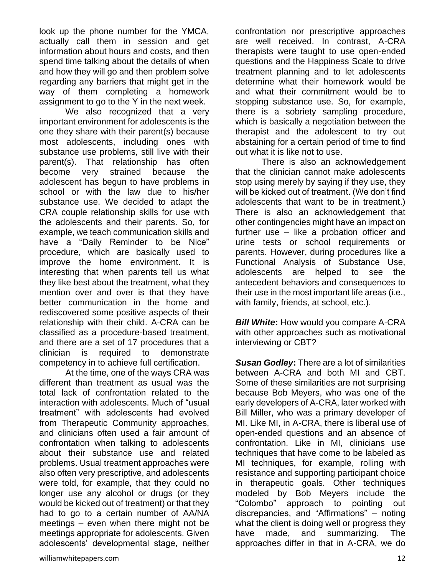look up the phone number for the YMCA, actually call them in session and get information about hours and costs, and then spend time talking about the details of when and how they will go and then problem solve regarding any barriers that might get in the way of them completing a homework assignment to go to the Y in the next week.

We also recognized that a very important environment for adolescents is the one they share with their parent(s) because most adolescents, including ones with substance use problems, still live with their parent(s). That relationship has often become very strained because the adolescent has begun to have problems in school or with the law due to his/her substance use. We decided to adapt the CRA couple relationship skills for use with the adolescents and their parents. So, for example, we teach communication skills and have a "Daily Reminder to be Nice" procedure, which are basically used to improve the home environment. It is interesting that when parents tell us what they like best about the treatment, what they mention over and over is that they have better communication in the home and rediscovered some positive aspects of their relationship with their child. A-CRA can be classified as a procedure-based treatment, and there are a set of 17 procedures that a clinician is required to demonstrate competency in to achieve full certification.

At the time, one of the ways CRA was different than treatment as usual was the total lack of confrontation related to the interaction with adolescents. Much of "usual treatment" with adolescents had evolved from Therapeutic Community approaches, and clinicians often used a fair amount of confrontation when talking to adolescents about their substance use and related problems. Usual treatment approaches were also often very prescriptive, and adolescents were told, for example, that they could no longer use any alcohol or drugs (or they would be kicked out of treatment) or that they had to go to a certain number of AA/NA meetings – even when there might not be meetings appropriate for adolescents. Given adolescents' developmental stage, neither

confrontation nor prescriptive approaches are well received. In contrast, A-CRA therapists were taught to use open-ended questions and the Happiness Scale to drive treatment planning and to let adolescents determine what their homework would be and what their commitment would be to stopping substance use. So, for example, there is a sobriety sampling procedure, which is basically a negotiation between the therapist and the adolescent to try out abstaining for a certain period of time to find out what it is like not to use.

There is also an acknowledgement that the clinician cannot make adolescents stop using merely by saying if they use, they will be kicked out of treatment. (We don't find adolescents that want to be in treatment.) There is also an acknowledgement that other contingencies might have an impact on further use – like a probation officer and urine tests or school requirements or parents. However, during procedures like a Functional Analysis of Substance Use, adolescents are helped to see the antecedent behaviors and consequences to their use in the most important life areas (i.e., with family, friends, at school, etc.).

*Bill White***:** How would you compare A-CRA with other approaches such as motivational interviewing or CBT?

*Susan Godley***:** There are a lot of similarities between A-CRA and both MI and CBT. Some of these similarities are not surprising because Bob Meyers, who was one of the early developers of A-CRA, later worked with Bill Miller, who was a primary developer of MI. Like MI, in A-CRA, there is liberal use of open-ended questions and an absence of confrontation. Like in MI, clinicians use techniques that have come to be labeled as MI techniques, for example, rolling with resistance and supporting participant choice in therapeutic goals. Other techniques modeled by Bob Meyers include the "Colombo" approach to pointing out discrepancies, and "Affirmations" – noting what the client is doing well or progress they have made, and summarizing. The approaches differ in that in A-CRA, we do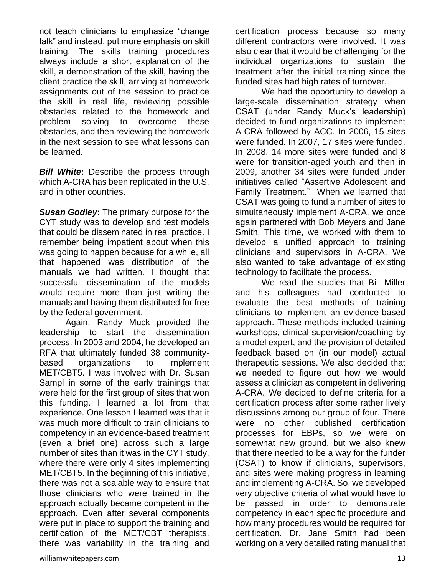not teach clinicians to emphasize "change talk" and instead, put more emphasis on skill training. The skills training procedures always include a short explanation of the skill, a demonstration of the skill, having the client practice the skill, arriving at homework assignments out of the session to practice the skill in real life, reviewing possible obstacles related to the homework and problem solving to overcome these obstacles, and then reviewing the homework in the next session to see what lessons can be learned.

**Bill White:** Describe the process through which A-CRA has been replicated in the U.S. and in other countries.

*Susan Godley***:** The primary purpose for the CYT study was to develop and test models that could be disseminated in real practice. I remember being impatient about when this was going to happen because for a while, all that happened was distribution of the manuals we had written. I thought that successful dissemination of the models would require more than just writing the manuals and having them distributed for free by the federal government.

Again, Randy Muck provided the leadership to start the dissemination process. In 2003 and 2004, he developed an RFA that ultimately funded 38 communitybased organizations to implement MET/CBT5. I was involved with Dr. Susan Sampl in some of the early trainings that were held for the first group of sites that won this funding. I learned a lot from that experience. One lesson I learned was that it was much more difficult to train clinicians to competency in an evidence-based treatment (even a brief one) across such a large number of sites than it was in the CYT study, where there were only 4 sites implementing MET/CBT5. In the beginning of this initiative, there was not a scalable way to ensure that those clinicians who were trained in the approach actually became competent in the approach. Even after several components were put in place to support the training and certification of the MET/CBT therapists, there was variability in the training and certification process because so many different contractors were involved. It was also clear that it would be challenging for the individual organizations to sustain the treatment after the initial training since the funded sites had high rates of turnover.

We had the opportunity to develop a large-scale dissemination strategy when CSAT (under Randy Muck's leadership) decided to fund organizations to implement A-CRA followed by ACC. In 2006, 15 sites were funded. In 2007, 17 sites were funded. In 2008, 14 more sites were funded and 8 were for transition-aged youth and then in 2009, another 34 sites were funded under initiatives called "Assertive Adolescent and Family Treatment." When we learned that CSAT was going to fund a number of sites to simultaneously implement A-CRA, we once again partnered with Bob Meyers and Jane Smith. This time, we worked with them to develop a unified approach to training clinicians and supervisors in A-CRA. We also wanted to take advantage of existing technology to facilitate the process.

We read the studies that Bill Miller and his colleagues had conducted to evaluate the best methods of training clinicians to implement an evidence-based approach. These methods included training workshops, clinical supervision/coaching by a model expert, and the provision of detailed feedback based on (in our model) actual therapeutic sessions. We also decided that we needed to figure out how we would assess a clinician as competent in delivering A-CRA. We decided to define criteria for a certification process after some rather lively discussions among our group of four. There were no other published certification processes for EBPs, so we were on somewhat new ground, but we also knew that there needed to be a way for the funder (CSAT) to know if clinicians, supervisors, and sites were making progress in learning and implementing A-CRA. So, we developed very objective criteria of what would have to be passed in order to demonstrate competency in each specific procedure and how many procedures would be required for certification. Dr. Jane Smith had been working on a very detailed rating manual that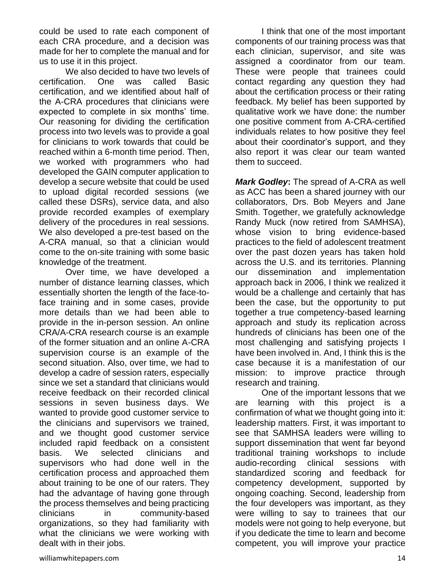could be used to rate each component of each CRA procedure, and a decision was made for her to complete the manual and for us to use it in this project.

We also decided to have two levels of certification. One was called Basic certification, and we identified about half of the A-CRA procedures that clinicians were expected to complete in six months' time. Our reasoning for dividing the certification process into two levels was to provide a goal for clinicians to work towards that could be reached within a 6-month time period. Then, we worked with programmers who had developed the GAIN computer application to develop a secure website that could be used to upload digital recorded sessions (we called these DSRs), service data, and also provide recorded examples of exemplary delivery of the procedures in real sessions. We also developed a pre-test based on the A-CRA manual, so that a clinician would come to the on-site training with some basic knowledge of the treatment.

Over time, we have developed a number of distance learning classes, which essentially shorten the length of the face-toface training and in some cases, provide more details than we had been able to provide in the in-person session. An online CRA/A-CRA research course is an example of the former situation and an online A-CRA supervision course is an example of the second situation. Also, over time, we had to develop a cadre of session raters, especially since we set a standard that clinicians would receive feedback on their recorded clinical sessions in seven business days. We wanted to provide good customer service to the clinicians and supervisors we trained, and we thought good customer service included rapid feedback on a consistent basis. We selected clinicians and supervisors who had done well in the certification process and approached them about training to be one of our raters. They had the advantage of having gone through the process themselves and being practicing clinicians in community-based organizations, so they had familiarity with what the clinicians we were working with dealt with in their jobs.

I think that one of the most important components of our training process was that each clinician, supervisor, and site was assigned a coordinator from our team. These were people that trainees could contact regarding any question they had about the certification process or their rating feedback. My belief has been supported by qualitative work we have done: the number one positive comment from A-CRA-certified individuals relates to how positive they feel about their coordinator's support, and they also report it was clear our team wanted them to succeed.

*Mark Godley***:** The spread of A-CRA as well as ACC has been a shared journey with our collaborators, Drs. Bob Meyers and Jane Smith. Together, we gratefully acknowledge Randy Muck (now retired from SAMHSA), whose vision to bring evidence-based practices to the field of adolescent treatment over the past dozen years has taken hold across the U.S. and its territories. Planning our dissemination and implementation approach back in 2006, I think we realized it would be a challenge and certainly that has been the case, but the opportunity to put together a true competency-based learning approach and study its replication across hundreds of clinicians has been one of the most challenging and satisfying projects I have been involved in. And, I think this is the case because it is a manifestation of our mission: to improve practice through research and training.

One of the important lessons that we are learning with this project is a confirmation of what we thought going into it: leadership matters. First, it was important to see that SAMHSA leaders were willing to support dissemination that went far beyond traditional training workshops to include audio-recording clinical sessions with standardized scoring and feedback for competency development, supported by ongoing coaching. Second, leadership from the four developers was important, as they were willing to say to trainees that our models were not going to help everyone, but if you dedicate the time to learn and become competent, you will improve your practice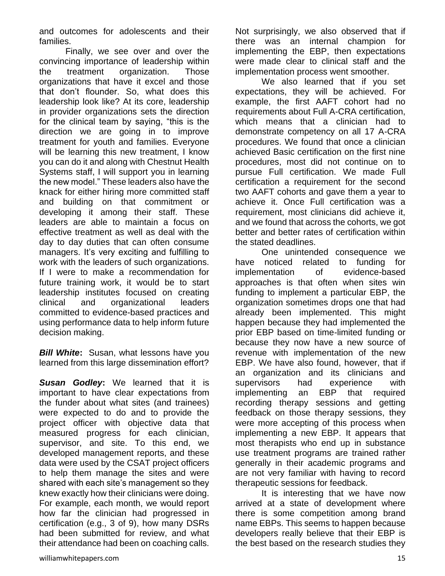and outcomes for adolescents and their families.

Finally, we see over and over the convincing importance of leadership within the treatment organization. Those organizations that have it excel and those that don't flounder. So, what does this leadership look like? At its core, leadership in provider organizations sets the direction for the clinical team by saying, "this is the direction we are going in to improve treatment for youth and families. Everyone will be learning this new treatment, I know you can do it and along with Chestnut Health Systems staff, I will support you in learning the new model." These leaders also have the knack for either hiring more committed staff and building on that commitment or developing it among their staff. These leaders are able to maintain a focus on effective treatment as well as deal with the day to day duties that can often consume managers. It's very exciting and fulfilling to work with the leaders of such organizations. If I were to make a recommendation for future training work, it would be to start leadership institutes focused on creating clinical and organizational leaders committed to evidence-based practices and using performance data to help inform future decision making.

*Bill White***:** Susan, what lessons have you learned from this large dissemination effort?

*Susan Godley***:** We learned that it is important to have clear expectations from the funder about what sites (and trainees) were expected to do and to provide the project officer with objective data that measured progress for each clinician, supervisor, and site. To this end, we developed management reports, and these data were used by the CSAT project officers to help them manage the sites and were shared with each site's management so they knew exactly how their clinicians were doing. For example, each month, we would report how far the clinician had progressed in certification (e.g., 3 of 9), how many DSRs had been submitted for review, and what their attendance had been on coaching calls.

We also learned that if you set expectations, they will be achieved. For example, the first AAFT cohort had no requirements about Full A-CRA certification, which means that a clinician had to demonstrate competency on all 17 A-CRA procedures. We found that once a clinician achieved Basic certification on the first nine procedures, most did not continue on to pursue Full certification. We made Full certification a requirement for the second two AAFT cohorts and gave them a year to achieve it. Once Full certification was a requirement, most clinicians did achieve it, and we found that across the cohorts, we got better and better rates of certification within the stated deadlines.

One unintended consequence we have noticed related to funding for implementation of evidence-based approaches is that often when sites win funding to implement a particular EBP, the organization sometimes drops one that had already been implemented. This might happen because they had implemented the prior EBP based on time-limited funding or because they now have a new source of revenue with implementation of the new EBP. We have also found, however, that if an organization and its clinicians and supervisors had experience with implementing an EBP that required recording therapy sessions and getting feedback on those therapy sessions, they were more accepting of this process when implementing a new EBP. It appears that most therapists who end up in substance use treatment programs are trained rather generally in their academic programs and are not very familiar with having to record therapeutic sessions for feedback.

It is interesting that we have now arrived at a state of development where there is some competition among brand name EBPs. This seems to happen because developers really believe that their EBP is the best based on the research studies they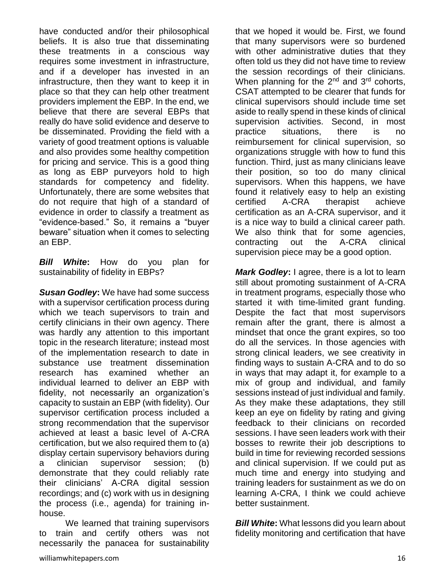have conducted and/or their philosophical beliefs. It is also true that disseminating these treatments in a conscious way requires some investment in infrastructure, and if a developer has invested in an infrastructure, then they want to keep it in place so that they can help other treatment providers implement the EBP. In the end, we believe that there are several EBPs that really do have solid evidence and deserve to be disseminated. Providing the field with a variety of good treatment options is valuable and also provides some healthy competition for pricing and service. This is a good thing as long as EBP purveyors hold to high standards for competency and fidelity. Unfortunately, there are some websites that do not require that high of a standard of evidence in order to classify a treatment as "evidence-based." So, it remains a "buyer beware" situation when it comes to selecting an EBP.

*Bill White***:** How do you plan for sustainability of fidelity in EBPs?

*Susan Godley***:** We have had some success with a supervisor certification process during which we teach supervisors to train and certify clinicians in their own agency. There was hardly any attention to this important topic in the research literature; instead most of the implementation research to date in substance use treatment dissemination research has examined whether an individual learned to deliver an EBP with fidelity, not necessarily an organization's capacity to sustain an EBP (with fidelity). Our supervisor certification process included a strong recommendation that the supervisor achieved at least a basic level of A-CRA certification, but we also required them to (a) display certain supervisory behaviors during a clinician supervisor session; (b) demonstrate that they could reliably rate their clinicians' A-CRA digital session recordings; and (c) work with us in designing the process (i.e., agenda) for training inhouse.

We learned that training supervisors to train and certify others was not necessarily the panacea for sustainability

that we hoped it would be. First, we found that many supervisors were so burdened with other administrative duties that they often told us they did not have time to review the session recordings of their clinicians. When planning for the  $2<sup>nd</sup>$  and  $3<sup>rd</sup>$  cohorts, CSAT attempted to be clearer that funds for clinical supervisors should include time set aside to really spend in these kinds of clinical supervision activities. Second, in most practice situations, there is no reimbursement for clinical supervision, so organizations struggle with how to fund this function. Third, just as many clinicians leave their position, so too do many clinical supervisors. When this happens, we have found it relatively easy to help an existing certified A-CRA therapist achieve certification as an A-CRA supervisor, and it is a nice way to build a clinical career path. We also think that for some agencies, contracting out the A-CRA clinical supervision piece may be a good option.

*Mark Godley***:** I agree, there is a lot to learn still about promoting sustainment of A-CRA in treatment programs, especially those who started it with time-limited grant funding. Despite the fact that most supervisors remain after the grant, there is almost a mindset that once the grant expires, so too do all the services. In those agencies with strong clinical leaders, we see creativity in finding ways to sustain A-CRA and to do so in ways that may adapt it, for example to a mix of group and individual, and family sessions instead of just individual and family. As they make these adaptations, they still keep an eye on fidelity by rating and giving feedback to their clinicians on recorded sessions. I have seen leaders work with their bosses to rewrite their job descriptions to build in time for reviewing recorded sessions and clinical supervision. If we could put as much time and energy into studying and training leaders for sustainment as we do on learning A-CRA, I think we could achieve better sustainment.

*Bill White***:** What lessons did you learn about fidelity monitoring and certification that have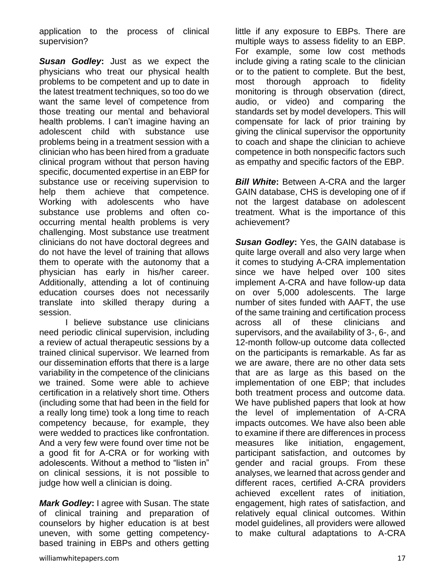application to the process of clinical supervision?

*Susan Godley***:** Just as we expect the physicians who treat our physical health problems to be competent and up to date in the latest treatment techniques, so too do we want the same level of competence from those treating our mental and behavioral health problems. I can't imagine having an adolescent child with substance use problems being in a treatment session with a clinician who has been hired from a graduate clinical program without that person having specific, documented expertise in an EBP for substance use or receiving supervision to help them achieve that competence. Working with adolescents who have substance use problems and often cooccurring mental health problems is very challenging. Most substance use treatment clinicians do not have doctoral degrees and do not have the level of training that allows them to operate with the autonomy that a physician has early in his/her career. Additionally, attending a lot of continuing education courses does not necessarily translate into skilled therapy during a session.

I believe substance use clinicians need periodic clinical supervision, including a review of actual therapeutic sessions by a trained clinical supervisor. We learned from our dissemination efforts that there is a large variability in the competence of the clinicians we trained. Some were able to achieve certification in a relatively short time. Others (including some that had been in the field for a really long time) took a long time to reach competency because, for example, they were wedded to practices like confrontation. And a very few were found over time not be a good fit for A-CRA or for working with adolescents. Without a method to "listen in" on clinical sessions, it is not possible to judge how well a clinician is doing.

*Mark Godley***:** I agree with Susan. The state of clinical training and preparation of counselors by higher education is at best uneven, with some getting competencybased training in EBPs and others getting

little if any exposure to EBPs. There are multiple ways to assess fidelity to an EBP. For example, some low cost methods include giving a rating scale to the clinician or to the patient to complete. But the best, most thorough approach to fidelity monitoring is through observation (direct, audio, or video) and comparing the standards set by model developers. This will compensate for lack of prior training by giving the clinical supervisor the opportunity to coach and shape the clinician to achieve competence in both nonspecific factors such as empathy and specific factors of the EBP.

*Bill White:* Between A-CRA and the larger GAIN database, CHS is developing one of if not the largest database on adolescent treatment. What is the importance of this achievement?

*Susan Godley***:** Yes, the GAIN database is quite large overall and also very large when it comes to studying A-CRA implementation since we have helped over 100 sites implement A-CRA and have follow-up data on over 5,000 adolescents. The large number of sites funded with AAFT, the use of the same training and certification process across all of these clinicians and supervisors, and the availability of 3-, 6-, and 12-month follow-up outcome data collected on the participants is remarkable. As far as we are aware, there are no other data sets that are as large as this based on the implementation of one EBP; that includes both treatment process and outcome data. We have published papers that look at how the level of implementation of A-CRA impacts outcomes. We have also been able to examine if there are differences in process measures like initiation, engagement, participant satisfaction, and outcomes by gender and racial groups. From these analyses, we learned that across gender and different races, certified A-CRA providers achieved excellent rates of initiation, engagement, high rates of satisfaction, and relatively equal clinical outcomes. Within model guidelines, all providers were allowed to make cultural adaptations to A-CRA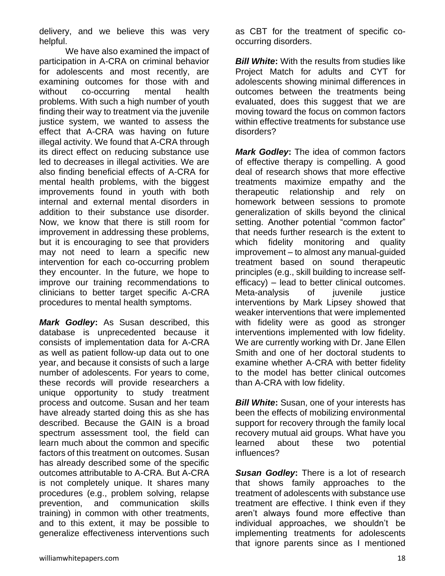delivery, and we believe this was very helpful.

We have also examined the impact of participation in A-CRA on criminal behavior for adolescents and most recently, are examining outcomes for those with and without co-occurring mental health problems. With such a high number of youth finding their way to treatment via the juvenile justice system, we wanted to assess the effect that A-CRA was having on future illegal activity. We found that A-CRA through its direct effect on reducing substance use led to decreases in illegal activities. We are also finding beneficial effects of A-CRA for mental health problems, with the biggest improvements found in youth with both internal and external mental disorders in addition to their substance use disorder. Now, we know that there is still room for improvement in addressing these problems, but it is encouraging to see that providers may not need to learn a specific new intervention for each co-occurring problem they encounter. In the future, we hope to improve our training recommendations to clinicians to better target specific A-CRA procedures to mental health symptoms.

*Mark Godley***:** As Susan described, this database is unprecedented because it consists of implementation data for A-CRA as well as patient follow-up data out to one year, and because it consists of such a large number of adolescents. For years to come, these records will provide researchers a unique opportunity to study treatment process and outcome. Susan and her team have already started doing this as she has described. Because the GAIN is a broad spectrum assessment tool, the field can learn much about the common and specific factors of this treatment on outcomes. Susan has already described some of the specific outcomes attributable to A-CRA. But A-CRA is not completely unique. It shares many procedures (e.g., problem solving, relapse prevention, and communication skills training) in common with other treatments, and to this extent, it may be possible to generalize effectiveness interventions such

as CBT for the treatment of specific cooccurring disorders.

*Bill White:* With the results from studies like Project Match for adults and CYT for adolescents showing minimal differences in outcomes between the treatments being evaluated, does this suggest that we are moving toward the focus on common factors within effective treatments for substance use disorders?

*Mark Godley***:** The idea of common factors of effective therapy is compelling. A good deal of research shows that more effective treatments maximize empathy and the therapeutic relationship and rely on homework between sessions to promote generalization of skills beyond the clinical setting. Another potential "common factor" that needs further research is the extent to which fidelity monitoring and quality improvement – to almost any manual-guided treatment based on sound therapeutic principles (e.g., skill building to increase selfefficacy) – lead to better clinical outcomes. Meta-analysis of juvenile justice interventions by Mark Lipsey showed that weaker interventions that were implemented with fidelity were as good as stronger interventions implemented with low fidelity. We are currently working with Dr. Jane Ellen Smith and one of her doctoral students to examine whether A-CRA with better fidelity to the model has better clinical outcomes than A-CRA with low fidelity.

*Bill White:* Susan, one of your interests has been the effects of mobilizing environmental support for recovery through the family local recovery mutual aid groups. What have you learned about these two potential influences?

*Susan Godley***:** There is a lot of research that shows family approaches to the treatment of adolescents with substance use treatment are effective. I think even if they aren't always found more effective than individual approaches, we shouldn't be implementing treatments for adolescents that ignore parents since as I mentioned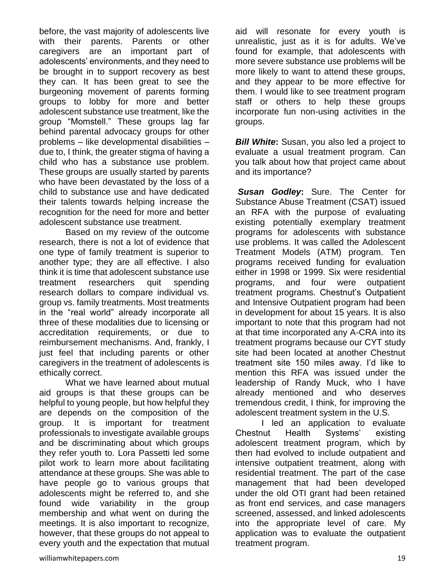before, the vast majority of adolescents live with their parents. Parents or other caregivers are an important part of adolescents' environments, and they need to be brought in to support recovery as best they can. It has been great to see the burgeoning movement of parents forming groups to lobby for more and better adolescent substance use treatment, like the group "Momstell." These groups lag far behind parental advocacy groups for other problems – like developmental disabilities – due to, I think, the greater stigma of having a child who has a substance use problem. These groups are usually started by parents who have been devastated by the loss of a child to substance use and have dedicated their talents towards helping increase the recognition for the need for more and better adolescent substance use treatment.

Based on my review of the outcome research, there is not a lot of evidence that one type of family treatment is superior to another type; they are all effective. I also think it is time that adolescent substance use treatment researchers quit spending research dollars to compare individual vs. group vs. family treatments. Most treatments in the "real world" already incorporate all three of these modalities due to licensing or accreditation requirements, or due to reimbursement mechanisms. And, frankly, I just feel that including parents or other caregivers in the treatment of adolescents is ethically correct.

What we have learned about mutual aid groups is that these groups can be helpful to young people, but how helpful they are depends on the composition of the group. It is important for treatment professionals to investigate available groups and be discriminating about which groups they refer youth to. Lora Passetti led some pilot work to learn more about facilitating attendance at these groups. She was able to have people go to various groups that adolescents might be referred to, and she found wide variability in the group membership and what went on during the meetings. It is also important to recognize, however, that these groups do not appeal to every youth and the expectation that mutual aid will resonate for every youth is unrealistic, just as it is for adults. We've found for example, that adolescents with more severe substance use problems will be more likely to want to attend these groups, and they appear to be more effective for them. I would like to see treatment program staff or others to help these groups incorporate fun non-using activities in the groups.

*Bill White:* Susan, you also led a project to evaluate a usual treatment program. Can you talk about how that project came about and its importance?

*Susan Godley***:** Sure. The Center for Substance Abuse Treatment (CSAT) issued an RFA with the purpose of evaluating existing potentially exemplary treatment programs for adolescents with substance use problems. It was called the Adolescent Treatment Models (ATM) program. Ten programs received funding for evaluation either in 1998 or 1999. Six were residential programs, and four were outpatient treatment programs. Chestnut's Outpatient and Intensive Outpatient program had been in development for about 15 years. It is also important to note that this program had not at that time incorporated any A-CRA into its treatment programs because our CYT study site had been located at another Chestnut treatment site 150 miles away. I'd like to mention this RFA was issued under the leadership of Randy Muck, who I have already mentioned and who deserves tremendous credit, I think, for improving the adolescent treatment system in the U.S.

I led an application to evaluate Chestnut Health Systems' existing adolescent treatment program, which by then had evolved to include outpatient and intensive outpatient treatment, along with residential treatment. The part of the case management that had been developed under the old OTI grant had been retained as front end services, and case managers screened, assessed, and linked adolescents into the appropriate level of care. My application was to evaluate the outpatient treatment program.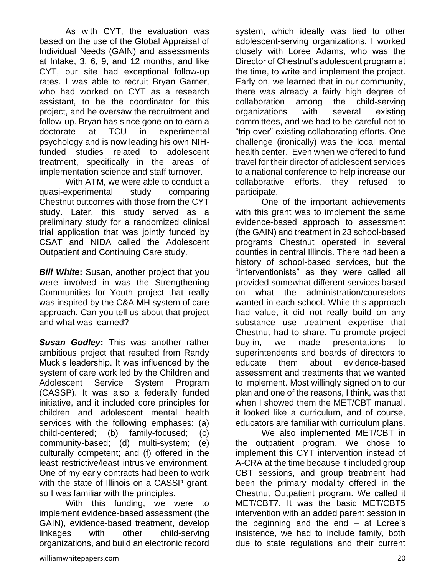As with CYT, the evaluation was based on the use of the Global Appraisal of Individual Needs (GAIN) and assessments at Intake, 3, 6, 9, and 12 months, and like CYT, our site had exceptional follow-up rates. I was able to recruit Bryan Garner, who had worked on CYT as a research assistant, to be the coordinator for this project, and he oversaw the recruitment and follow-up. Bryan has since gone on to earn a doctorate at TCU in experimental psychology and is now leading his own NIHfunded studies related to adolescent treatment, specifically in the areas of implementation science and staff turnover.

With ATM, we were able to conduct a quasi-experimental study comparing Chestnut outcomes with those from the CYT study. Later, this study served as a preliminary study for a randomized clinical trial application that was jointly funded by CSAT and NIDA called the Adolescent Outpatient and Continuing Care study.

*Bill White***:** Susan, another project that you were involved in was the Strengthening Communities for Youth project that really was inspired by the C&A MH system of care approach. Can you tell us about that project and what was learned?

*Susan Godley***:** This was another rather ambitious project that resulted from Randy Muck's leadership. It was influenced by the system of care work led by the Children and Adolescent Service System Program (CASSP). It was also a federally funded initiative, and it included core principles for children and adolescent mental health services with the following emphases: (a) child-centered; (b) family-focused; (c) community-based; (d) multi-system; (e) culturally competent; and (f) offered in the least restrictive/least intrusive environment. One of my early contracts had been to work with the state of Illinois on a CASSP grant, so I was familiar with the principles.

With this funding, we were to implement evidence-based assessment (the GAIN), evidence-based treatment, develop linkages with other child-serving organizations, and build an electronic record system, which ideally was tied to other adolescent-serving organizations. I worked closely with Loree Adams, who was the Director of Chestnut's adolescent program at the time, to write and implement the project. Early on, we learned that in our community, there was already a fairly high degree of collaboration among the child-serving organizations with several existing committees, and we had to be careful not to "trip over" existing collaborating efforts. One challenge (ironically) was the local mental health center. Even when we offered to fund travel for their director of adolescent services to a national conference to help increase our collaborative efforts, they refused to participate.

One of the important achievements with this grant was to implement the same evidence-based approach to assessment (the GAIN) and treatment in 23 school-based programs Chestnut operated in several counties in central Illinois. There had been a history of school-based services, but the "interventionists" as they were called all provided somewhat different services based on what the administration/counselors wanted in each school. While this approach had value, it did not really build on any substance use treatment expertise that Chestnut had to share. To promote project buy-in, we made presentations to superintendents and boards of directors to educate them about evidence-based assessment and treatments that we wanted to implement. Most willingly signed on to our plan and one of the reasons, I think, was that when I showed them the MET/CBT manual, it looked like a curriculum, and of course, educators are familiar with curriculum plans.

We also implemented MET/CBT in the outpatient program. We chose to implement this CYT intervention instead of A-CRA at the time because it included group CBT sessions, and group treatment had been the primary modality offered in the Chestnut Outpatient program. We called it MET/CBT7. It was the basic MET/CBT5 intervention with an added parent session in the beginning and the end – at Loree's insistence, we had to include family, both due to state regulations and their current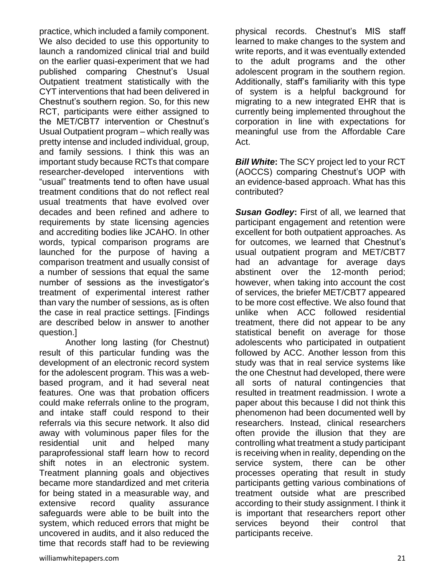practice, which included a family component. We also decided to use this opportunity to launch a randomized clinical trial and build on the earlier quasi-experiment that we had published comparing Chestnut's Usual Outpatient treatment statistically with the CYT interventions that had been delivered in Chestnut's southern region. So, for this new RCT, participants were either assigned to the MET/CBT7 intervention or Chestnut's Usual Outpatient program – which really was pretty intense and included individual, group, and family sessions. I think this was an important study because RCTs that compare researcher-developed interventions with "usual" treatments tend to often have usual treatment conditions that do not reflect real usual treatments that have evolved over decades and been refined and adhere to requirements by state licensing agencies and accrediting bodies like JCAHO. In other words, typical comparison programs are launched for the purpose of having a comparison treatment and usually consist of a number of sessions that equal the same number of sessions as the investigator's treatment of experimental interest rather than vary the number of sessions, as is often the case in real practice settings. [Findings are described below in answer to another question.]

Another long lasting (for Chestnut) result of this particular funding was the development of an electronic record system for the adolescent program. This was a webbased program, and it had several neat features. One was that probation officers could make referrals online to the program, and intake staff could respond to their referrals via this secure network. It also did away with voluminous paper files for the residential unit and helped many paraprofessional staff learn how to record shift notes in an electronic system. Treatment planning goals and objectives became more standardized and met criteria for being stated in a measurable way, and extensive record quality assurance safeguards were able to be built into the system, which reduced errors that might be uncovered in audits, and it also reduced the time that records staff had to be reviewing

physical records. Chestnut's MIS staff learned to make changes to the system and write reports, and it was eventually extended to the adult programs and the other adolescent program in the southern region. Additionally, staff's familiarity with this type of system is a helpful background for migrating to a new integrated EHR that is currently being implemented throughout the corporation in line with expectations for meaningful use from the Affordable Care Act.

*Bill White***:** The SCY project led to your RCT (AOCCS) comparing Chestnut's UOP with an evidence-based approach. What has this contributed?

*Susan Godley***:** First of all, we learned that participant engagement and retention were excellent for both outpatient approaches. As for outcomes, we learned that Chestnut's usual outpatient program and MET/CBT7 had an advantage for average days abstinent over the 12-month period; however, when taking into account the cost of services, the briefer MET/CBT7 appeared to be more cost effective. We also found that unlike when ACC followed residential treatment, there did not appear to be any statistical benefit on average for those adolescents who participated in outpatient followed by ACC. Another lesson from this study was that in real service systems like the one Chestnut had developed, there were all sorts of natural contingencies that resulted in treatment readmission. I wrote a paper about this because I did not think this phenomenon had been documented well by researchers. Instead, clinical researchers often provide the illusion that they are controlling what treatment a study participant is receiving when in reality, depending on the service system, there can be other processes operating that result in study participants getting various combinations of treatment outside what are prescribed according to their study assignment. I think it is important that researchers report other services beyond their control that participants receive.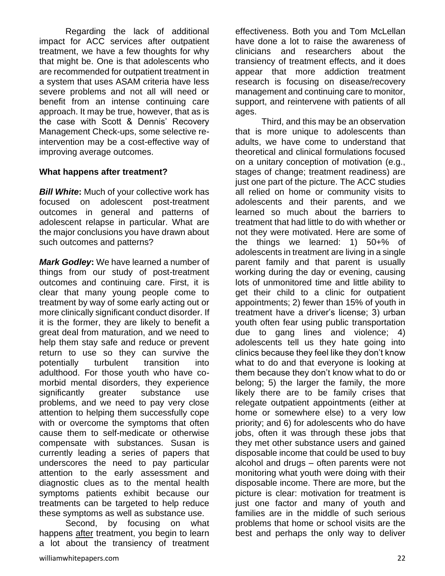Regarding the lack of additional impact for ACC services after outpatient treatment, we have a few thoughts for why that might be. One is that adolescents who are recommended for outpatient treatment in a system that uses ASAM criteria have less severe problems and not all will need or benefit from an intense continuing care approach. It may be true, however, that as is the case with Scott & Dennis' Recovery Management Check-ups, some selective reintervention may be a cost-effective way of improving average outcomes.

#### **What happens after treatment?**

*Bill White***:** Much of your collective work has focused on adolescent post-treatment outcomes in general and patterns of adolescent relapse in particular. What are the major conclusions you have drawn about such outcomes and patterns?

*Mark Godley***:** We have learned a number of things from our study of post-treatment outcomes and continuing care. First, it is clear that many young people come to treatment by way of some early acting out or more clinically significant conduct disorder. If it is the former, they are likely to benefit a great deal from maturation, and we need to help them stay safe and reduce or prevent return to use so they can survive the potentially turbulent transition into adulthood. For those youth who have comorbid mental disorders, they experience significantly greater substance use problems, and we need to pay very close attention to helping them successfully cope with or overcome the symptoms that often cause them to self-medicate or otherwise compensate with substances. Susan is currently leading a series of papers that underscores the need to pay particular attention to the early assessment and diagnostic clues as to the mental health symptoms patients exhibit because our treatments can be targeted to help reduce these symptoms as well as substance use.

Second, by focusing on what happens after treatment, you begin to learn a lot about the transiency of treatment effectiveness. Both you and Tom McLellan have done a lot to raise the awareness of clinicians and researchers about the transiency of treatment effects, and it does appear that more addiction treatment research is focusing on disease/recovery management and continuing care to monitor, support, and reintervene with patients of all ages.

Third, and this may be an observation that is more unique to adolescents than adults, we have come to understand that theoretical and clinical formulations focused on a unitary conception of motivation (e.g., stages of change; treatment readiness) are just one part of the picture. The ACC studies all relied on home or community visits to adolescents and their parents, and we learned so much about the barriers to treatment that had little to do with whether or not they were motivated. Here are some of the things we learned: 1) 50+% of adolescents in treatment are living in a single parent family and that parent is usually working during the day or evening, causing lots of unmonitored time and little ability to get their child to a clinic for outpatient appointments; 2) fewer than 15% of youth in treatment have a driver's license; 3) urban youth often fear using public transportation due to gang lines and violence; 4) adolescents tell us they hate going into clinics because they feel like they don't know what to do and that everyone is looking at them because they don't know what to do or belong; 5) the larger the family, the more likely there are to be family crises that relegate outpatient appointments (either at home or somewhere else) to a very low priority; and 6) for adolescents who do have jobs, often it was through these jobs that they met other substance users and gained disposable income that could be used to buy alcohol and drugs – often parents were not monitoring what youth were doing with their disposable income. There are more, but the picture is clear: motivation for treatment is just one factor and many of youth and families are in the middle of such serious problems that home or school visits are the best and perhaps the only way to deliver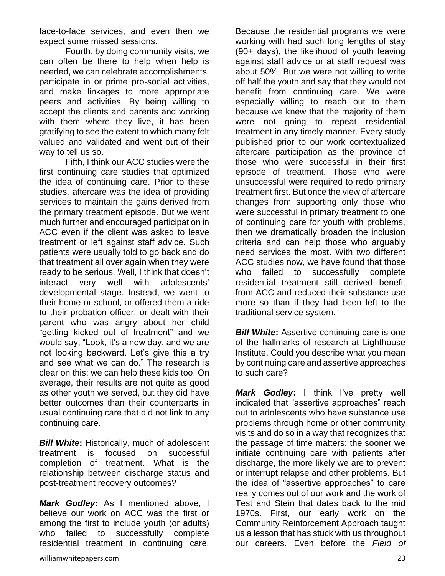face-to-face services, and even then we expect some missed sessions.

Fourth, by doing community visits, we can often be there to help when help is needed, we can celebrate accomplishments, participate in or prime pro-social activities, and make linkages to more appropriate peers and activities. By being willing to accept the clients and parents and working with them where they live, it has been gratifying to see the extent to which many felt valued and validated and went out of their way to tell us so.

Fifth, I think our ACC studies were the first continuing care studies that optimized the idea of continuing care. Prior to these studies, aftercare was the idea of providing services to maintain the gains derived from the primary treatment episode. But we went much further and encouraged participation in ACC even if the client was asked to leave treatment or left against staff advice. Such patients were usually told to go back and do that treatment all over again when they were ready to be serious. Well, I think that doesn't interact very well with adolescents' developmental stage. Instead, we went to their home or school, or offered them a ride to their probation officer, or dealt with their parent who was angry about her child "getting kicked out of treatment" and we would say, "Look, it's a new day, and we are not looking backward. Let's give this a try and see what we can do." The research is clear on this: we can help these kids too. On average, their results are not quite as good as other youth we served, but they did have better outcomes than their counterparts in usual continuing care that did not link to any continuing care.

*Bill White***:** Historically, much of adolescent treatment is focused on successful completion of treatment. What is the relationship between discharge status and post-treatment recovery outcomes?

*Mark Godley***:** As I mentioned above, I believe our work on ACC was the first or among the first to include youth (or adults) who failed to successfully complete residential treatment in continuing care.

Because the residential programs we were working with had such long lengths of stay (90+ days), the likelihood of youth leaving against staff advice or at staff request was about 50%. But we were not willing to write off half the youth and say that they would not benefit from continuing care. We were especially willing to reach out to them because we knew that the majority of them were not going to repeat residential treatment in any timely manner. Every study published prior to our work contextualized aftercare participation as the province of those who were successful in their first episode of treatment. Those who were unsuccessful were required to redo primary treatment first. But once the view of aftercare changes from supporting only those who were successful in primary treatment to one of continuing care for youth with problems, then we dramatically broaden the inclusion criteria and can help those who arguably need services the most. With two different ACC studies now, we have found that those who failed to successfully complete residential treatment still derived benefit from ACC and reduced their substance use more so than if they had been left to the traditional service system.

*Bill White:* Assertive continuing care is one of the hallmarks of research at Lighthouse Institute. Could you describe what you mean by continuing care and assertive approaches to such care?

*Mark Godley***:** I think I've pretty well indicated that "assertive approaches" reach out to adolescents who have substance use problems through home or other community visits and do so in a way that recognizes that the passage of time matters: the sooner we initiate continuing care with patients after discharge, the more likely we are to prevent or interrupt relapse and other problems. But the idea of "assertive approaches" to care really comes out of our work and the work of Test and Stein that dates back to the mid 1970s. First, our early work on the Community Reinforcement Approach taught us a lesson that has stuck with us throughout our careers. Even before the *Field of*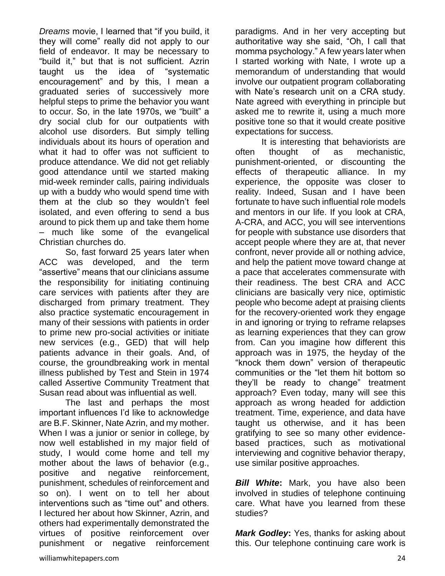*Dreams* movie, I learned that "if you build, it they will come" really did not apply to our field of endeavor. It may be necessary to "build it," but that is not sufficient. Azrin taught us the idea of "systematic encouragement" and by this, I mean a graduated series of successively more helpful steps to prime the behavior you want to occur. So, in the late 1970s, we "built" a dry social club for our outpatients with alcohol use disorders. But simply telling individuals about its hours of operation and what it had to offer was not sufficient to produce attendance. We did not get reliably good attendance until we started making mid-week reminder calls, pairing individuals up with a buddy who would spend time with them at the club so they wouldn't feel isolated, and even offering to send a bus around to pick them up and take them home – much like some of the evangelical Christian churches do.

So, fast forward 25 years later when ACC was developed, and the term "assertive" means that our clinicians assume the responsibility for initiating continuing care services with patients after they are discharged from primary treatment. They also practice systematic encouragement in many of their sessions with patients in order to prime new pro-social activities or initiate new services (e.g., GED) that will help patients advance in their goals. And, of course, the groundbreaking work in mental illness published by Test and Stein in 1974 called Assertive Community Treatment that Susan read about was influential as well.

The last and perhaps the most important influences I'd like to acknowledge are B.F. Skinner, Nate Azrin, and my mother. When I was a junior or senior in college, by now well established in my major field of study, I would come home and tell my mother about the laws of behavior (e.g., positive and negative reinforcement, punishment, schedules of reinforcement and so on). I went on to tell her about interventions such as "time out" and others. I lectured her about how Skinner, Azrin, and others had experimentally demonstrated the virtues of positive reinforcement over punishment or negative reinforcement

paradigms. And in her very accepting but authoritative way she said, "Oh, I call that momma psychology." A few years later when I started working with Nate, I wrote up a memorandum of understanding that would involve our outpatient program collaborating with Nate's research unit on a CRA study. Nate agreed with everything in principle but asked me to rewrite it, using a much more positive tone so that it would create positive expectations for success.

It is interesting that behaviorists are often thought of as mechanistic, punishment-oriented, or discounting the effects of therapeutic alliance. In my experience, the opposite was closer to reality. Indeed, Susan and I have been fortunate to have such influential role models and mentors in our life. If you look at CRA, A-CRA, and ACC, you will see interventions for people with substance use disorders that accept people where they are at, that never confront, never provide all or nothing advice, and help the patient move toward change at a pace that accelerates commensurate with their readiness. The best CRA and ACC clinicians are basically very nice, optimistic people who become adept at praising clients for the recovery-oriented work they engage in and ignoring or trying to reframe relapses as learning experiences that they can grow from. Can you imagine how different this approach was in 1975, the heyday of the "knock them down" version of therapeutic communities or the "let them hit bottom so they'll be ready to change" treatment approach? Even today, many will see this approach as wrong headed for addiction treatment. Time, experience, and data have taught us otherwise, and it has been gratifying to see so many other evidencebased practices, such as motivational interviewing and cognitive behavior therapy, use similar positive approaches.

*Bill White***:** Mark, you have also been involved in studies of telephone continuing care. What have you learned from these studies?

*Mark Godley***:** Yes, thanks for asking about this. Our telephone continuing care work is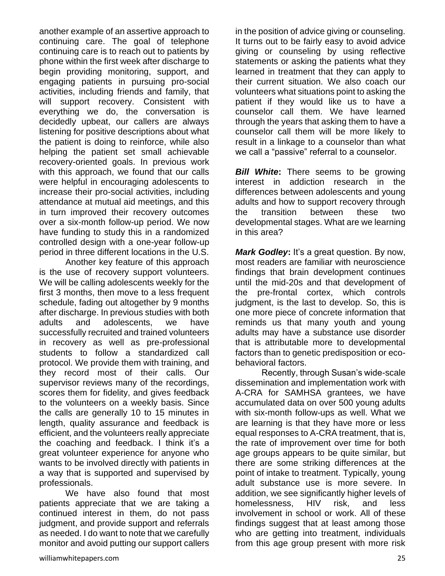another example of an assertive approach to continuing care. The goal of telephone continuing care is to reach out to patients by phone within the first week after discharge to begin providing monitoring, support, and engaging patients in pursuing pro-social activities, including friends and family, that will support recovery. Consistent with everything we do, the conversation is decidedly upbeat, our callers are always listening for positive descriptions about what the patient is doing to reinforce, while also helping the patient set small achievable recovery-oriented goals. In previous work with this approach, we found that our calls were helpful in encouraging adolescents to increase their pro-social activities, including attendance at mutual aid meetings, and this in turn improved their recovery outcomes over a six-month follow-up period. We now have funding to study this in a randomized controlled design with a one-year follow-up period in three different locations in the U.S.

Another key feature of this approach is the use of recovery support volunteers. We will be calling adolescents weekly for the first 3 months, then move to a less frequent schedule, fading out altogether by 9 months after discharge. In previous studies with both adults and adolescents, we have successfully recruited and trained volunteers in recovery as well as pre-professional students to follow a standardized call protocol. We provide them with training, and they record most of their calls. Our supervisor reviews many of the recordings, scores them for fidelity, and gives feedback to the volunteers on a weekly basis. Since the calls are generally 10 to 15 minutes in length, quality assurance and feedback is efficient, and the volunteers really appreciate the coaching and feedback. I think it's a great volunteer experience for anyone who wants to be involved directly with patients in a way that is supported and supervised by professionals.

We have also found that most patients appreciate that we are taking a continued interest in them, do not pass judgment, and provide support and referrals as needed. I do want to note that we carefully monitor and avoid putting our support callers in the position of advice giving or counseling. It turns out to be fairly easy to avoid advice giving or counseling by using reflective statements or asking the patients what they learned in treatment that they can apply to their current situation. We also coach our volunteers what situations point to asking the patient if they would like us to have a counselor call them. We have learned through the years that asking them to have a counselor call them will be more likely to result in a linkage to a counselor than what we call a "passive" referral to a counselor.

*Bill White*: There seems to be growing interest in addiction research in the differences between adolescents and young adults and how to support recovery through the transition between these two developmental stages. What are we learning in this area?

*Mark Godley***:** It's a great question. By now, most readers are familiar with neuroscience findings that brain development continues until the mid-20s and that development of the pre-frontal cortex, which controls judgment, is the last to develop. So, this is one more piece of concrete information that reminds us that many youth and young adults may have a substance use disorder that is attributable more to developmental factors than to genetic predisposition or ecobehavioral factors.

Recently, through Susan's wide-scale dissemination and implementation work with A-CRA for SAMHSA grantees, we have accumulated data on over 500 young adults with six-month follow-ups as well. What we are learning is that they have more or less equal responses to A-CRA treatment, that is, the rate of improvement over time for both age groups appears to be quite similar, but there are some striking differences at the point of intake to treatment. Typically, young adult substance use is more severe. In addition, we see significantly higher levels of homelessness, HIV risk, and less involvement in school or work. All of these findings suggest that at least among those who are getting into treatment, individuals from this age group present with more risk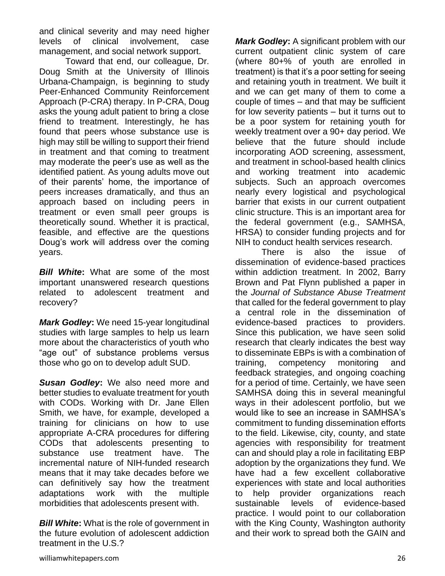and clinical severity and may need higher levels of clinical involvement, case management, and social network support.

Toward that end, our colleague, Dr. Doug Smith at the University of Illinois Urbana-Champaign, is beginning to study Peer-Enhanced Community Reinforcement Approach (P-CRA) therapy. In P-CRA, Doug asks the young adult patient to bring a close friend to treatment. Interestingly, he has found that peers whose substance use is high may still be willing to support their friend in treatment and that coming to treatment may moderate the peer's use as well as the identified patient. As young adults move out of their parents' home, the importance of peers increases dramatically, and thus an approach based on including peers in treatment or even small peer groups is theoretically sound. Whether it is practical, feasible, and effective are the questions Doug's work will address over the coming years.

*Bill White***:** What are some of the most important unanswered research questions related to adolescent treatment and recovery?

*Mark Godley***:** We need 15-year longitudinal studies with large samples to help us learn more about the characteristics of youth who "age out" of substance problems versus those who go on to develop adult SUD.

*Susan Godley***:** We also need more and better studies to evaluate treatment for youth with CODs. Working with Dr. Jane Ellen Smith, we have, for example, developed a training for clinicians on how to use appropriate A-CRA procedures for differing CODs that adolescents presenting to substance use treatment have. The incremental nature of NIH-funded research means that it may take decades before we can definitively say how the treatment adaptations work with the multiple morbidities that adolescents present with.

*Bill White***:** What is the role of government in the future evolution of adolescent addiction treatment in the U.S.?

*Mark Godley***:** A significant problem with our current outpatient clinic system of care (where 80+% of youth are enrolled in treatment) is that it's a poor setting for seeing and retaining youth in treatment. We built it and we can get many of them to come a couple of times – and that may be sufficient for low severity patients – but it turns out to be a poor system for retaining youth for weekly treatment over a 90+ day period. We believe that the future should include incorporating AOD screening, assessment, and treatment in school-based health clinics and working treatment into academic subjects. Such an approach overcomes nearly every logistical and psychological barrier that exists in our current outpatient clinic structure. This is an important area for the federal government (e.g., SAMHSA, HRSA) to consider funding projects and for NIH to conduct health services research.

There is also the issue of dissemination of evidence-based practices within addiction treatment. In 2002, Barry Brown and Pat Flynn published a paper in the *Journal of Substance Abuse Treatment* that called for the federal government to play a central role in the dissemination of evidence-based practices to providers. Since this publication, we have seen solid research that clearly indicates the best way to disseminate EBPs is with a combination of training, competency monitoring and feedback strategies, and ongoing coaching for a period of time. Certainly, we have seen SAMHSA doing this in several meaningful ways in their adolescent portfolio, but we would like to see an increase in SAMHSA's commitment to funding dissemination efforts to the field. Likewise, city, county, and state agencies with responsibility for treatment can and should play a role in facilitating EBP adoption by the organizations they fund. We have had a few excellent collaborative experiences with state and local authorities to help provider organizations reach sustainable levels of evidence-based practice. I would point to our collaboration with the King County, Washington authority and their work to spread both the GAIN and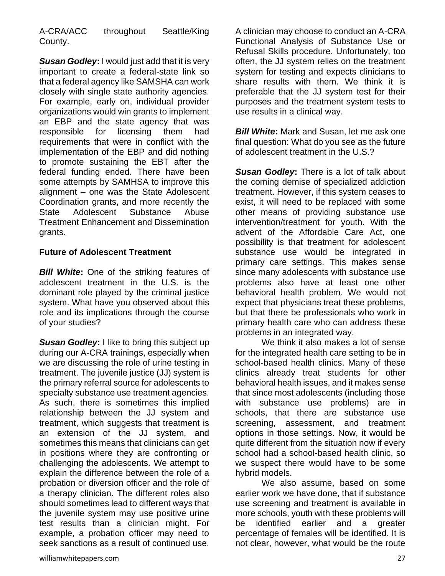A-CRA/ACC throughout Seattle/King County.

*Susan Godley***:** I would just add that it is very important to create a federal-state link so that a federal agency like SAMSHA can work closely with single state authority agencies. For example, early on, individual provider organizations would win grants to implement an EBP and the state agency that was responsible for licensing them had requirements that were in conflict with the implementation of the EBP and did nothing to promote sustaining the EBT after the federal funding ended. There have been some attempts by SAMHSA to improve this alignment – one was the State Adolescent Coordination grants, and more recently the State Adolescent Substance Abuse Treatment Enhancement and Dissemination grants.

## **Future of Adolescent Treatment**

*Bill White***:** One of the striking features of adolescent treatment in the U.S. is the dominant role played by the criminal justice system. What have you observed about this role and its implications through the course of your studies?

*Susan Godley***:** I like to bring this subject up during our A-CRA trainings, especially when we are discussing the role of urine testing in treatment. The juvenile justice (JJ) system is the primary referral source for adolescents to specialty substance use treatment agencies. As such, there is sometimes this implied relationship between the JJ system and treatment, which suggests that treatment is an extension of the JJ system, and sometimes this means that clinicians can get in positions where they are confronting or challenging the adolescents. We attempt to explain the difference between the role of a probation or diversion officer and the role of a therapy clinician. The different roles also should sometimes lead to different ways that the juvenile system may use positive urine test results than a clinician might. For example, a probation officer may need to seek sanctions as a result of continued use.

A clinician may choose to conduct an A-CRA Functional Analysis of Substance Use or Refusal Skills procedure. Unfortunately, too often, the JJ system relies on the treatment system for testing and expects clinicians to share results with them. We think it is preferable that the JJ system test for their purposes and the treatment system tests to use results in a clinical way.

*Bill White***:** Mark and Susan, let me ask one final question: What do you see as the future of adolescent treatment in the U.S.?

*Susan Godley***:** There is a lot of talk about the coming demise of specialized addiction treatment. However, if this system ceases to exist, it will need to be replaced with some other means of providing substance use intervention/treatment for youth. With the advent of the Affordable Care Act, one possibility is that treatment for adolescent substance use would be integrated in primary care settings. This makes sense since many adolescents with substance use problems also have at least one other behavioral health problem. We would not expect that physicians treat these problems, but that there be professionals who work in primary health care who can address these problems in an integrated way.

We think it also makes a lot of sense for the integrated health care setting to be in school-based health clinics. Many of these clinics already treat students for other behavioral health issues, and it makes sense that since most adolescents (including those with substance use problems) are in schools, that there are substance use screening, assessment, and treatment options in those settings. Now, it would be quite different from the situation now if every school had a school-based health clinic, so we suspect there would have to be some hybrid models.

We also assume, based on some earlier work we have done, that if substance use screening and treatment is available in more schools, youth with these problems will be identified earlier and a greater percentage of females will be identified. It is not clear, however, what would be the route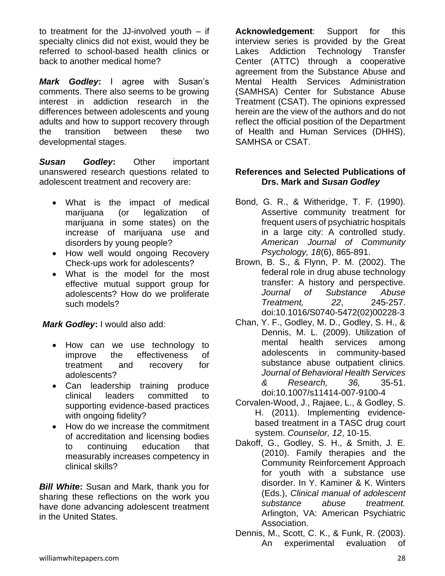to treatment for the JJ-involved youth – if specialty clinics did not exist, would they be referred to school-based health clinics or back to another medical home?

*Mark Godley***:** I agree with Susan's comments. There also seems to be growing interest in addiction research in the differences between adolescents and young adults and how to support recovery through the transition between these two developmental stages.

*Susan Godley***:** Other important unanswered research questions related to adolescent treatment and recovery are:

- What is the impact of medical marijuana (or legalization of marijuana in some states) on the increase of marijuana use and disorders by young people?
- How well would ongoing Recovery Check-ups work for adolescents?
- What is the model for the most effective mutual support group for adolescents? How do we proliferate such models?

*Mark Godley***:** I would also add:

- How can we use technology to improve the effectiveness of treatment and recovery for adolescents?
- Can leadership training produce clinical leaders committed to supporting evidence-based practices with ongoing fidelity?
- How do we increase the commitment of accreditation and licensing bodies to continuing education that measurably increases competency in clinical skills?

*Bill White***:** Susan and Mark, thank you for sharing these reflections on the work you have done advancing adolescent treatment in the United States.

**Acknowledgement**: Support for this interview series is provided by the Great Lakes Addiction Technology Transfer Center (ATTC) through a cooperative agreement from the Substance Abuse and Mental Health Services Administration (SAMHSA) Center for Substance Abuse Treatment (CSAT). The opinions expressed herein are the view of the authors and do not reflect the official position of the Department of Health and Human Services (DHHS), SAMHSA or CSAT.

## **References and Selected Publications of Drs. Mark and** *Susan Godley*

- Bond, G. R., & Witheridge, T. F. (1990). Assertive community treatment for frequent users of psychiatric hospitals in a large city: A controlled study. *American Journal of Community Psychology, 18*(6), 865-891.
- Brown, B. S., & Flynn, P. M. (2002). The federal role in drug abuse technology transfer: A history and perspective. *Journal of Substance Abuse Treatment, 22*, 245-257. doi:10.1016/S0740-5472(02)00228-3
- Chan, Y. F., Godley, M. D., Godley, S. H., & Dennis, M. L. (2009). Utilization of mental health services among adolescents in community-based substance abuse outpatient clinics. *Journal of Behavioral Health Services & Research, 36,* 35-51. doi:10.1007/s11414-007-9100-4
- Corvalen-Wood, J., Rajaee, L., & Godley, S. H. (2011). Implementing evidencebased treatment in a TASC drug court system. *Counselor, 12*, 10-15.
- Dakoff, G., Godley, S. H., & Smith, J. E. (2010). Family therapies and the Community Reinforcement Approach for youth with a substance use disorder. In Y. Kaminer & K. Winters (Eds.), *Clinical manual of adolescent substance abuse treatment.* Arlington, VA: American Psychiatric Association.
- Dennis, M., Scott, C. K., & Funk, R. (2003). An experimental evaluation of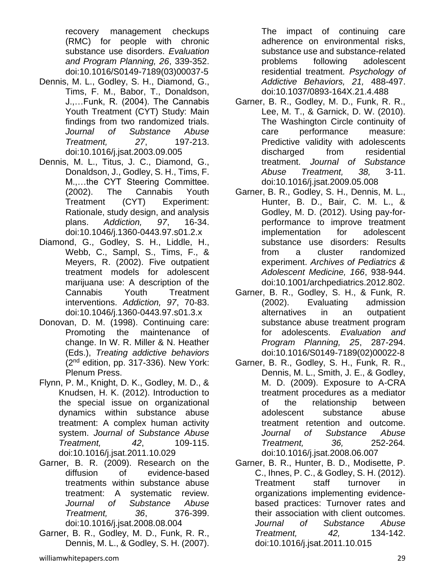recovery management checkups (RMC) for people with chronic substance use disorders. *Evaluation and Program Planning, 26*, 339-352. doi:10.1016/S0149-7189(03)00037-5

- Dennis, M. L., Godley, S. H., Diamond, G., Tims, F. M., Babor, T., Donaldson, J.,…Funk, R. (2004). The Cannabis Youth Treatment (CYT) Study: Main findings from two randomized trials. *Journal of Substance Abuse Treatment, 27*, 197-213. doi:10.1016/j.jsat.2003.09.005
- Dennis, M. L., Titus, J. C., Diamond, G., Donaldson, J., Godley, S. H., Tims, F. M.,…the CYT Steering Committee. (2002). The Cannabis Youth Treatment (CYT) Experiment: Rationale, study design, and analysis plans. *Addiction, 97*, 16-34. doi:10.1046/j.1360-0443.97.s01.2.x
- Diamond, G., Godley, S. H., Liddle, H., Webb, C., Sampl, S., Tims, F., & Meyers, R. (2002). Five outpatient treatment models for adolescent marijuana use: A description of the Cannabis Youth Treatment interventions. *Addiction, 97*, 70-83. doi:10.1046/j.1360-0443.97.s01.3.x
- Donovan, D. M. (1998). Continuing care: Promoting the maintenance of change. In W. R. Miller & N. Heather (Eds.), *Treating addictive behaviors* (2nd edition, pp. 317-336). New York: Plenum Press.
- Flynn, P. M., Knight, D. K., Godley, M. D., & Knudsen, H. K. (2012). Introduction to the special issue on organizational dynamics within substance abuse treatment: A complex human activity system. *Journal of Substance Abuse Treatment, 42*, 109-115. doi:10.1016/j.jsat.2011.10.029
- Garner, B. R. (2009). Research on the diffusion of evidence-based treatments within substance abuse treatment: A systematic review. *Journal of Substance Abuse Treatment, 36*, 376-399. doi:10.1016/j.jsat.2008.08.004
- Garner, B. R., Godley, M. D., Funk, R. R., Dennis, M. L., & Godley, S. H. (2007).

The impact of continuing care adherence on environmental risks, substance use and substance-related problems following adolescent residential treatment. *Psychology of Addictive Behaviors, 21,* 488-497. doi:10.1037/0893-164X.21.4.488

- Garner, B. R., Godley, M. D., Funk, R. R., Lee, M. T., & Garnick, D. W. (2010). The Washington Circle continuity of care performance measure: Predictive validity with adolescents discharged from residential treatment. *Journal of Substance Abuse Treatment, 38,* 3-11. doi:10.1016/j.jsat.2009.05.008
- Garner, B. R., Godley, S. H., Dennis, M. L., Hunter, B. D., Bair, C. M. L., & Godley, M. D. (2012). Using pay-forperformance to improve treatment implementation for adolescent substance use disorders: Results from a cluster randomized experiment. *Archives of Pediatrics & Adolescent Medicine, 166*, 938-944. doi:10.1001/archpediatrics.2012.802.
- Garner, B. R., Godley, S. H., & Funk, R. (2002). Evaluating admission alternatives in an outpatient substance abuse treatment program for adolescents. *Evaluation and Program Planning, 25*, 287-294. doi:10.1016/S0149-7189(02)00022-8
- Garner, B. R., Godley, S. H., Funk, R. R., Dennis, M. L., Smith, J. E., & Godley, M. D. (2009). Exposure to A-CRA treatment procedures as a mediator of the relationship between adolescent substance abuse treatment retention and outcome. *Journal of Substance Abuse Treatment, 36,* 252-264*.*  doi:10.1016/j.jsat.2008.06.007
- Garner, B. R., Hunter, B. D., Modisette, P. C., Ihnes, P. C., & Godley, S. H. (2012). Treatment staff turnover in organizations implementing evidencebased practices: Turnover rates and their association with client outcomes. *Journal of Substance Abuse Treatment, 42,* 134-142. doi:10.1016/j.jsat.2011.10.015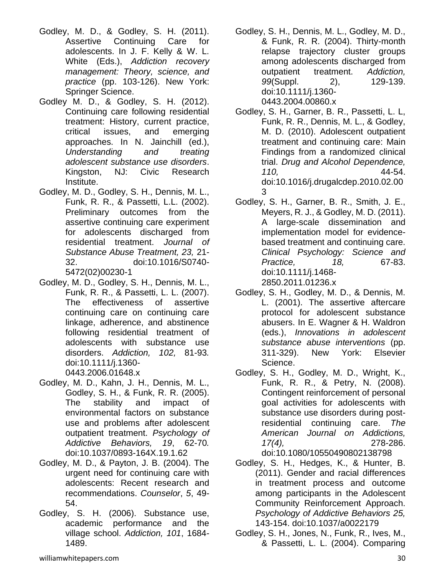- Godley, M. D., & Godley, S. H. (2011). Assertive Continuing Care for adolescents. In J. F. Kelly & W. L. White (Eds.), *Addiction recovery management: Theory, science, and practice* (pp. 103-126). New York: Springer Science.
- Godley M. D., & Godley, S. H. (2012). Continuing care following residential treatment: History, current practice, critical issues, and emerging approaches. In N. Jainchill (ed.), *Understanding and treating adolescent substance use disorders*. Kingston, NJ: Civic Research Institute.
- Godley, M. D., Godley, S. H., Dennis, M. L., Funk, R. R., & Passetti, L.L. (2002). Preliminary outcomes from the assertive continuing care experiment for adolescents discharged from residential treatment. *Journal of Substance Abuse Treatment, 23,* 21- 32. doi:10.1016/S0740- 5472(02)00230-1
- Godley, M. D., Godley, S. H., Dennis, M. L., Funk, R. R., & Passetti, L. L. (2007). The effectiveness of assertive continuing care on continuing care linkage, adherence, and abstinence following residential treatment of adolescents with substance use disorders. *Addiction, 102,* 81-93*.*  doi:10.1111/j.1360-

0443.2006.01648.x

- Godley, M. D., Kahn, J. H., Dennis, M. L., Godley, S. H., & Funk, R. R. (2005). The stability and impact of environmental factors on substance use and problems after adolescent outpatient treatment. *Psychology of Addictive Behaviors, 19*, 62-70*.* doi:10.1037/0893-164X.19.1.62
- Godley, M. D., & Payton, J. B. (2004). The urgent need for continuing care with adolescents: Recent research and recommendations. *Counselor*, *5*, 49- 54.
- Godley, S. H. (2006). Substance use, academic performance and the village school. *Addiction, 101*, 1684- 1489.
- Godley, S. H., Dennis, M. L., Godley, M. D., & Funk, R. R. (2004). Thirty-month relapse trajectory cluster groups among adolescents discharged from outpatient treatment. *Addiction, 99*(Suppl. 2), 129-139. doi:10.1111/j.1360- 0443.2004.00860.x
- Godley, S. H., Garner, B. R., Passetti, L. L, Funk, R. R., Dennis, M. L., & Godley, M. D. (2010). Adolescent outpatient treatment and continuing care: Main Findings from a randomized clinical trial. *Drug and Alcohol Dependence, 110,* 44-54. doi:10.1016/j.drugalcdep.2010.02.00 3
- Godley, S. H., Garner, B. R., Smith, J. E., Meyers, R. J., & Godley, M. D. (2011). A large-scale dissemination and implementation model for evidencebased treatment and continuing care. *Clinical Psychology: Science and Practice, 18,* 67-83. doi:10.1111/j.1468- 2850.2011.01236.x
- Godley, S. H., Godley, M. D., & Dennis, M. L. (2001). The assertive aftercare protocol for adolescent substance abusers. In E. Wagner & H. Waldron (eds.), *Innovations in adolescent substance abuse interventions* (pp. 311-329). New York: Elsevier Science.
- Godley, S. H., Godley, M. D., Wright, K., Funk, R. R., & Petry, N. (2008). Contingent reinforcement of personal goal activities for adolescents with substance use disorders during postresidential continuing care. *The American Journal on Addictions, 17(4),* 278-286. doi:10.1080/10550490802138798
- Godley, S. H., Hedges, K., & Hunter, B. (2011). Gender and racial differences in treatment process and outcome among participants in the Adolescent Community Reinforcement Approach. *Psychology of Addictive Behaviors 25,*  143-154. doi:10.1037/a0022179
- Godley, S. H., Jones, N., Funk, R., Ives, M., & Passetti, L. L. (2004). Comparing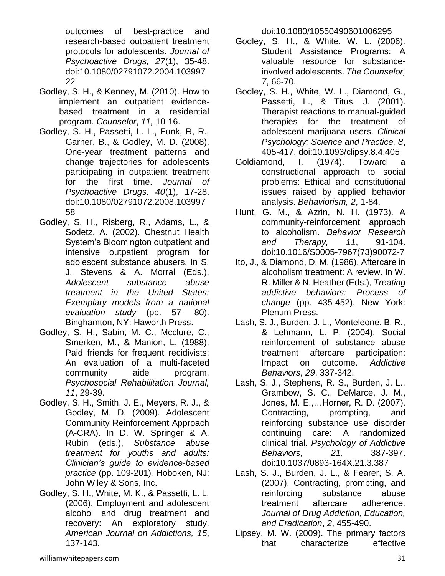outcomes of best-practice and research-based outpatient treatment protocols for adolescents. *Journal of Psychoactive Drugs, 27*(1), 35-48. doi:10.1080/02791072.2004.103997 22

- Godley, S. H., & Kenney, M. (2010). How to implement an outpatient evidencebased treatment in a residential program. *Counselor*, *11,* 10-16.
- Godley, S. H., Passetti, L. L., Funk, R, R., Garner, B., & Godley, M. D. (2008). One-year treatment patterns and change trajectories for adolescents participating in outpatient treatment for the first time. *Journal of Psychoactive Drugs, 40*(1), 17-28. doi:10.1080/02791072.2008.103997 58
- Godley, S. H., Risberg, R., Adams, L., & Sodetz, A. (2002). Chestnut Health System's Bloomington outpatient and intensive outpatient program for adolescent substance abusers. In S. J. Stevens & A. Morral (Eds.), *Adolescent substance abuse treatment in the United States: Exemplary models from a national evaluation study* (pp. 57- 80). Binghamton, NY: Haworth Press.
- Godley, S. H., Sabin, M. C., Mcclure, C., Smerken, M., & Manion, L. (1988). Paid friends for frequent recidivists: An evaluation of a multi-faceted community aide program. *Psychosocial Rehabilitation Journal, 11*, 29-39.
- Godley, S. H., Smith, J. E., Meyers, R. J., & Godley, M. D. (2009). Adolescent Community Reinforcement Approach (A-CRA). In D. W. Springer & A. Rubin (eds.), *Substance abuse treatment for youths and adults: Clinician's guide to evidence-based practice* (pp. 109-201)*.* Hoboken, NJ: John Wiley & Sons, Inc.
- Godley, S. H., White, M. K., & Passetti, L. L. (2006). Employment and adolescent alcohol and drug treatment and recovery: An exploratory study. *American Journal on Addictions, 15*, 137-143.

doi:10.1080/10550490601006295

- Godley, S. H., & White, W. L. (2006). Student Assistance Programs: A valuable resource for substanceinvolved adolescents. *The Counselor, 7*, 66-70.
- Godley, S. H., White, W. L., Diamond, G., Passetti, L., & Titus, J. (2001). Therapist reactions to manual-guided therapies for the treatment of adolescent marijuana users. *Clinical Psychology: Science and Practice, 8*, 405-417. doi:10.1093/clipsy.8.4.405
- Goldiamond, I. (1974). Toward a constructional approach to social problems: Ethical and constitutional issues raised by applied behavior analysis. *Behaviorism, 2*, 1-84.
- Hunt, G. M., & Azrin, N. H. (1973). A community-reinforcement approach to alcoholism. *Behavior Research and Therapy, 11*, 91-104. doi:10.1016/S0005-7967(73)90072-7
- Ito, J., & Diamond, D. M. (1986). Aftercare in alcoholism treatment: A review. In W. R. Miller & N. Heather (Eds.), *Treating addictive behaviors: Process of change* (pp. 435-452). New York: Plenum Press.
- Lash, S. J., Burden, J. L., Monteleone, B. R., & Lehmann, L. P. (2004). Social reinforcement of substance abuse treatment aftercare participation: Impact on outcome. *Addictive Behaviors*, *29*, 337-342.
- Lash, S. J., Stephens, R. S., Burden, J. L., Grambow, S. C., DeMarce, J. M., Jones, M. E.,…Horner, R. D. (2007). Contracting, prompting, and reinforcing substance use disorder continuing care: A randomized clinical trial. *Psychology of Addictive Behaviors, 21,* 387-397. doi:10.1037/0893-164X.21.3.387
- Lash, S. J., Burden, J. L., & Fearer, S. A. (2007). Contracting, prompting, and reinforcing substance abuse treatment aftercare adherence. *Journal of Drug Addiction, Education, and Eradication*, *2*, 455-490.
- Lipsey, M. W. (2009). The primary factors that characterize effective